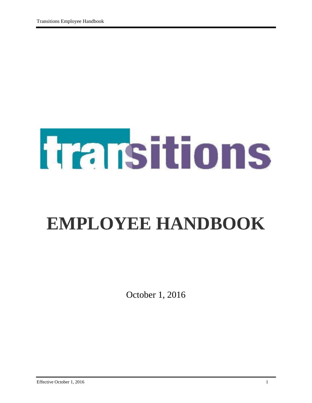# **transitions**

# **EMPLOYEE HANDBOOK**

October 1, 2016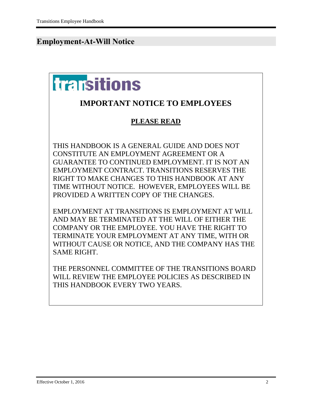# **Employment-At-Will Notice**

# **transitions**

# **IMPORTANT NOTICE TO EMPLOYEES**

# **PLEASE READ**

THIS HANDBOOK IS A GENERAL GUIDE AND DOES NOT CONSTITUTE AN EMPLOYMENT AGREEMENT OR A GUARANTEE TO CONTINUED EMPLOYMENT. IT IS NOT AN EMPLOYMENT CONTRACT. TRANSITIONS RESERVES THE RIGHT TO MAKE CHANGES TO THIS HANDBOOK AT ANY TIME WITHOUT NOTICE. HOWEVER, EMPLOYEES WILL BE PROVIDED A WRITTEN COPY OF THE CHANGES.

EMPLOYMENT AT TRANSITIONS IS EMPLOYMENT AT WILL AND MAY BE TERMINATED AT THE WILL OF EITHER THE COMPANY OR THE EMPLOYEE. YOU HAVE THE RIGHT TO TERMINATE YOUR EMPLOYMENT AT ANY TIME, WITH OR WITHOUT CAUSE OR NOTICE, AND THE COMPANY HAS THE SAME RIGHT.

THE PERSONNEL COMMITTEE OF THE TRANSITIONS BOARD WILL REVIEW THE EMPLOYEE POLICIES AS DESCRIBED IN THIS HANDBOOK EVERY TWO YEARS.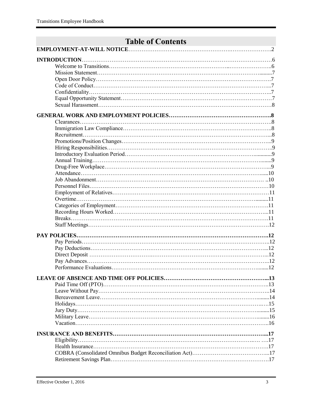| <b>Table of Contents</b> |  |  |
|--------------------------|--|--|
|                          |  |  |
|                          |  |  |
|                          |  |  |
|                          |  |  |
|                          |  |  |
|                          |  |  |
|                          |  |  |
|                          |  |  |
|                          |  |  |
|                          |  |  |
|                          |  |  |
|                          |  |  |
|                          |  |  |
|                          |  |  |
|                          |  |  |
|                          |  |  |
|                          |  |  |
|                          |  |  |
|                          |  |  |
|                          |  |  |
|                          |  |  |
|                          |  |  |
|                          |  |  |
|                          |  |  |
|                          |  |  |
|                          |  |  |
|                          |  |  |
|                          |  |  |
|                          |  |  |
|                          |  |  |
|                          |  |  |
|                          |  |  |
|                          |  |  |
|                          |  |  |
|                          |  |  |
|                          |  |  |
|                          |  |  |
|                          |  |  |
|                          |  |  |
|                          |  |  |
|                          |  |  |
|                          |  |  |
|                          |  |  |
|                          |  |  |
|                          |  |  |
|                          |  |  |
|                          |  |  |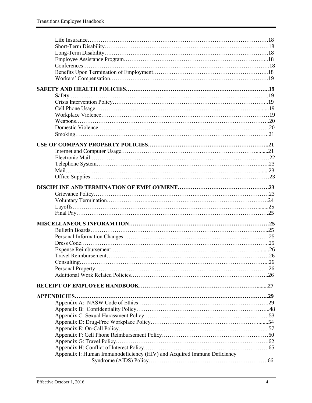| Appendix I: Human Immunodeficiency (HIV) and Acquired Immune Deficiency |  |
|-------------------------------------------------------------------------|--|
|                                                                         |  |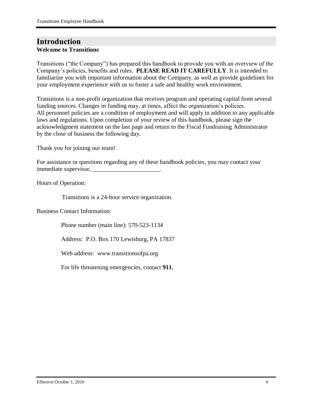## **Introduction Welcome to Transitions**

Transitions ("the Company") has prepared this handbook to provide you with an overview of the Company's policies, benefits and rules. **PLEASE READ IT CAREFULLY**. It is intended to familiarize you with important information about the Company, as well as provide guidelines for your employment experience with us to foster a safe and healthy work environment.

Transitions is a non-profit organization that receives program and operating capital from several funding sources. Changes in funding may, at times, affect the organization's policies. All personnel policies are a condition of employment and will apply in addition to any applicable laws and regulations. Upon completion of your review of this handbook, please sign the acknowledgment statement on the last page and return to the Fiscal Fundraising Administrator by the close of business the following day.

Thank you for joining our team!

For assistance or questions regarding any of these handbook policies, you may contact your immediate supervisor, \_\_\_\_\_\_\_\_\_\_\_\_\_\_\_\_\_\_\_\_\_\_.

Hours of Operation:

Transitions is a 24-hour service organization.

Business Contact Information:

Phone number (main line): 570-523-1134

Address: P.O. Box 170 Lewisburg, PA 17837

Web address: www.transitionsofpa.org

For life threatening emergencies, contact **911.**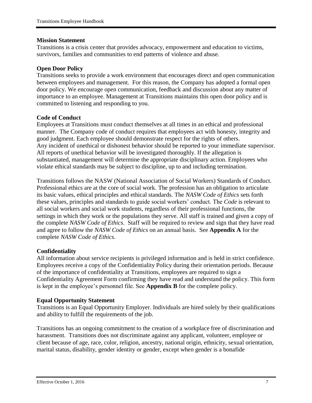#### **Mission Statement**

Transitions is a crisis center that provides advocacy, empowerment and education to victims, survivors, families and communities to end patterns of violence and abuse.

#### **Open Door Policy**

Transitions seeks to provide a work environment that encourages direct and open communication between employees and management. For this reason, the Company has adopted a formal open door policy. We encourage open communication, feedback and discussion about any matter of importance to an employee. Management at Transitions maintains this open door policy and is committed to listening and responding to you.

#### **Code of Conduct**

Employees at Transitions must conduct themselves at all times in an ethical and professional manner. The Company code of conduct requires that employees act with honesty, integrity and good judgment. Each employee should demonstrate respect for the rights of others. Any incident of unethical or dishonest behavior should be reported to your immediate supervisor. All reports of unethical behavior will be investigated thoroughly. If the allegation is substantiated, management will determine the appropriate disciplinary action. Employees who violate ethical standards may be subject to discipline, up to and including termination.

Transitions follows the NASW (National Association of Social Workers) Standards of Conduct. Professional ethics are at the core of social work. The profession has an obligation to articulate its basic values, ethical principles and ethical standards. The *NASW Code of Ethics* sets forth these values, principles and standards to guide social workers' conduct. The *Code* is relevant to all social workers and social work students, regardless of their professional functions, the settings in which they work or the populations they serve. All staff is trained and given a copy of the complete *NASW Code of Ethics*. Staff will be required to review and sign that they have read and agree to follow the *NASW Code of Ethics* on an annual basis. See **Appendix A** for the complete *NASW Code of Ethics*.

#### **Confidentiality**

All information about service recipients is privileged information and is held in strict confidence. Employees receive a copy of the Confidentiality Policy during their orientation periods. Because of the importance of confidentiality at Transitions, employees are required to sign a Confidentiality Agreement Form confirming they have read and understand the policy. This form is kept in the employee's personnel file. See **Appendix B** for the complete policy.

#### **Equal Opportunity Statement**

Transitions is an Equal Opportunity Employer. Individuals are hired solely by their qualifications and ability to fulfill the requirements of the job.

Transitions has an ongoing commitment to the creation of a workplace free of discrimination and harassment. Transitions does not discriminate against any applicant, volunteer, employee or client because of age, race, color, religion, ancestry, national origin, ethnicity, sexual orientation, marital status, disability, gender identity or gender, except when gender is a bonafide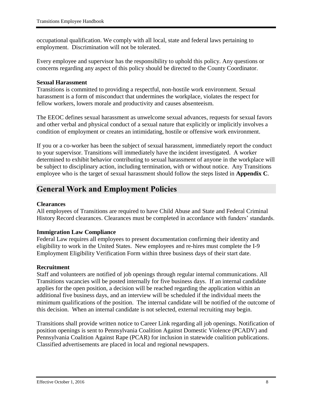occupational qualification. We comply with all local, state and federal laws pertaining to employment. Discrimination will not be tolerated.

Every employee and supervisor has the responsibility to uphold this policy. Any questions or concerns regarding any aspect of this policy should be directed to the County Coordinator.

#### **Sexual Harassment**

Transitions is committed to providing a respectful, non-hostile work environment. Sexual harassment is a form of misconduct that undermines the workplace, violates the respect for fellow workers, lowers morale and productivity and causes absenteeism.

The EEOC defines sexual harassment as unwelcome sexual advances, requests for sexual favors and other verbal and physical conduct of a sexual nature that explicitly or implicitly involves a condition of employment or creates an intimidating, hostile or offensive work environment.

If you or a co-worker has been the subject of sexual harassment, immediately report the conduct to your supervisor. Transitions will immediately have the incident investigated. A worker determined to exhibit behavior contributing to sexual harassment of anyone in the workplace will be subject to disciplinary action, including termination, with or without notice. Any Transitions employee who is the target of sexual harassment should follow the steps listed in **Appendix C**.

# **General Work and Employment Policies**

#### **Clearances**

All employees of Transitions are required to have Child Abuse and State and Federal Criminal History Record clearances. Clearances must be completed in accordance with funders' standards.

#### **Immigration Law Compliance**

Federal Law requires all employees to present documentation confirming their identity and eligibility to work in the United States. New employees and re-hires must complete the I-9 Employment Eligibility Verification Form within three business days of their start date.

#### **Recruitment**

Staff and volunteers are notified of job openings through regular internal communications. All Transitions vacancies will be posted internally for five business days. If an internal candidate applies for the open position, a decision will be reached regarding the application within an additional five business days, and an interview will be scheduled if the individual meets the minimum qualifications of the position. The internal candidate will be notified of the outcome of this decision. When an internal candidate is not selected, external recruiting may begin.

Transitions shall provide written notice to Career Link regarding all job openings. Notification of position openings is sent to Pennsylvania Coalition Against Domestic Violence (PCADV) and Pennsylvania Coalition Against Rape (PCAR) for inclusion in statewide coalition publications. Classified advertisements are placed in local and regional newspapers.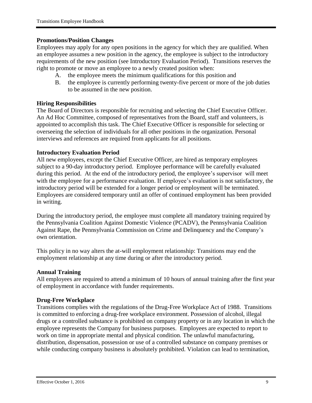#### **Promotions/Position Changes**

Employees may apply for any open positions in the agency for which they are qualified. When an employee assumes a new position in the agency, the employee is subject to the introductory requirements of the new position (see Introductory Evaluation Period). Transitions reserves the right to promote or move an employee to a newly created position when:

- A. the employee meets the minimum qualifications for this position and
- B. the employee is currently performing twenty-five percent or more of the job duties to be assumed in the new position.

#### **Hiring Responsibilities**

The Board of Directors is responsible for recruiting and selecting the Chief Executive Officer. An Ad Hoc Committee, composed of representatives from the Board, staff and volunteers, is appointed to accomplish this task. The Chief Executive Officer is responsible for selecting or overseeing the selection of individuals for all other positions in the organization. Personal interviews and references are required from applicants for all positions.

#### **Introductory Evaluation Period**

All new employees, except the Chief Executive Officer, are hired as temporary employees subject to a 90-day introductory period. Employee performance will be carefully evaluated during this period. At the end of the introductory period, the employee's supervisor will meet with the employee for a performance evaluation. If employee's evaluation is not satisfactory, the introductory period will be extended for a longer period or employment will be terminated. Employees are considered temporary until an offer of continued employment has been provided in writing.

During the introductory period, the employee must complete all mandatory training required by the Pennsylvania Coalition Against Domestic Violence (PCADV), the Pennsylvania Coalition Against Rape, the Pennsylvania Commission on Crime and Delinquency and the Company's own orientation.

This policy in no way alters the at-will employment relationship: Transitions may end the employment relationship at any time during or after the introductory period.

#### **Annual Training**

All employees are required to attend a minimum of 10 hours of annual training after the first year of employment in accordance with funder requirements.

#### **Drug-Free Workplace**

Transitions complies with the regulations of the Drug-Free Workplace Act of 1988. Transitions is committed to enforcing a drug-free workplace environment. Possession of alcohol, illegal drugs or a controlled substance is prohibited on company property or in any location in which the employee represents the Company for business purposes. Employees are expected to report to work on time in appropriate mental and physical condition. The unlawful manufacturing, distribution, dispensation, possession or use of a controlled substance on company premises or while conducting company business is absolutely prohibited. Violation can lead to termination,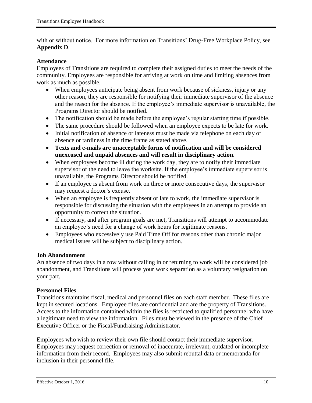with or without notice. For more information on Transitions' Drug-Free Workplace Policy, see **Appendix D**.

#### **Attendance**

Employees of Transitions are required to complete their assigned duties to meet the needs of the community. Employees are responsible for arriving at work on time and limiting absences from work as much as possible.

- When employees anticipate being absent from work because of sickness, injury or any other reason, they are responsible for notifying their immediate supervisor of the absence and the reason for the absence. If the employee's immediate supervisor is unavailable, the Programs Director should be notified.
- The notification should be made before the employee's regular starting time if possible.
- The same procedure should be followed when an employee expects to be late for work.
- Initial notification of absence or lateness must be made via telephone on each day of absence or tardiness in the time frame as stated above.
- **Texts and e-mails are unacceptable forms of notification and will be considered unexcused and unpaid absences and will result in disciplinary action.**
- When employees become ill during the work day, they are to notify their immediate supervisor of the need to leave the worksite. If the employee's immediate supervisor is unavailable, the Programs Director should be notified.
- If an employee is absent from work on three or more consecutive days, the supervisor may request a doctor's excuse.
- When an employee is frequently absent or late to work, the immediate supervisor is responsible for discussing the situation with the employees in an attempt to provide an opportunity to correct the situation.
- If necessary, and after program goals are met, Transitions will attempt to accommodate an employee's need for a change of work hours for legitimate reasons.
- Employees who excessively use Paid Time Off for reasons other than chronic major medical issues will be subject to disciplinary action.

#### **Job Abandonment**

An absence of two days in a row without calling in or returning to work will be considered job abandonment, and Transitions will process your work separation as a voluntary resignation on your part.

#### **Personnel Files**

Transitions maintains fiscal, medical and personnel files on each staff member. These files are kept in secured locations. Employee files are confidential and are the property of Transitions. Access to the information contained within the files is restricted to qualified personnel who have a legitimate need to view the information. Files must be viewed in the presence of the Chief Executive Officer or the Fiscal/Fundraising Administrator.

Employees who wish to review their own file should contact their immediate supervisor. Employees may request correction or removal of inaccurate, irrelevant, outdated or incomplete information from their record. Employees may also submit rebuttal data or memoranda for inclusion in their personnel file.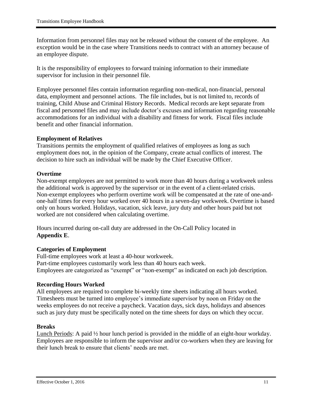Information from personnel files may not be released without the consent of the employee. An exception would be in the case where Transitions needs to contract with an attorney because of an employee dispute.

It is the responsibility of employees to forward training information to their immediate supervisor for inclusion in their personnel file.

Employee personnel files contain information regarding non-medical, non-financial, personal data, employment and personnel actions. The file includes, but is not limited to, records of training, Child Abuse and Criminal History Records. Medical records are kept separate from fiscal and personnel files and may include doctor's excuses and information regarding reasonable accommodations for an individual with a disability and fitness for work. Fiscal files include benefit and other financial information.

#### **Employment of Relatives**

Transitions permits the employment of qualified relatives of employees as long as such employment does not, in the opinion of the Company, create actual conflicts of interest. The decision to hire such an individual will be made by the Chief Executive Officer.

#### **Overtime**

Non-exempt employees are not permitted to work more than 40 hours during a workweek unless the additional work is approved by the supervisor or in the event of a client-related crisis. Non-exempt employees who perform overtime work will be compensated at the rate of one-andone-half times for every hour worked over 40 hours in a seven-day workweek. Overtime is based only on hours worked. Holidays, vacation, sick leave, jury duty and other hours paid but not worked are not considered when calculating overtime.

Hours incurred during on-call duty are addressed in the On-Call Policy located in **Appendix E**.

#### **Categories of Employment**

Full-time employees work at least a 40-hour workweek. Part-time employees customarily work less than 40 hours each week. Employees are categorized as "exempt" or "non-exempt" as indicated on each job description.

#### **Recording Hours Worked**

All employees are required to complete bi-weekly time sheets indicating all hours worked. Timesheets must be turned into employee's immediate supervisor by noon on Friday on the weeks employees do not receive a paycheck. Vacation days, sick days, holidays and absences such as jury duty must be specifically noted on the time sheets for days on which they occur.

#### **Breaks**

Lunch Periods: A paid ½ hour lunch period is provided in the middle of an eight-hour workday. Employees are responsible to inform the supervisor and/or co-workers when they are leaving for their lunch break to ensure that clients' needs are met.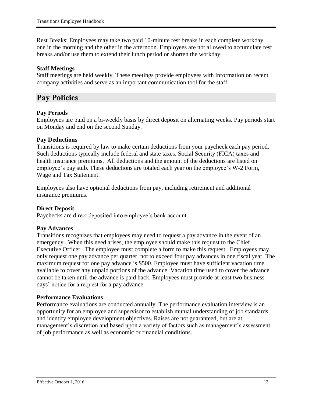Rest Breaks: Employees may take two paid 10-minute rest breaks in each complete workday, one in the morning and the other in the afternoon. Employees are not allowed to accumulate rest breaks and/or use them to extend their lunch period or shorten the workday.

#### **Staff Meetings**

Staff meetings are held weekly. These meetings provide employees with information on recent company activities and serve as an important communication tool for the staff.

# **Pay Policies**

#### **Pay Periods**

Employees are paid on a bi-weekly basis by direct deposit on alternating weeks. Pay periods start on Monday and end on the second Sunday.

#### **Pay Deductions**

Transitions is required by law to make certain deductions from your paycheck each pay period. Such deductions typically include federal and state taxes, Social Security (FICA) taxes and health insurance premiums. All deductions and the amount of the deductions are listed on employee's pay stub. These deductions are totaled each year on the employee's W-2 Form, Wage and Tax Statement.

Employees also have optional deductions from pay, including retirement and additional insurance premiums.

#### **Direct Deposit**

Paychecks are direct deposited into employee's bank account.

#### **Pay Advances**

Transitions recognizes that employees may need to request a pay advance in the event of an emergency. When this need arises, the employee should make this request to the Chief Executive Officer. The employee must complete a form to make this request. Employees may only request one pay advance per quarter, not to exceed four pay advances in one fiscal year. The maximum request for one pay advance is \$500. Employee must have sufficient vacation time available to cover any unpaid portions of the advance. Vacation time used to cover the advance cannot be taken until the advance is paid back. Employees must provide at least two business days' notice for a request for a pay advance.

#### **Performance Evaluations**

Performance evaluations are conducted annually. The performance evaluation interview is an opportunity for an employee and supervisor to establish mutual understanding of job standards and identify employee development objectives. Raises are not guaranteed, but are at management's discretion and based upon a variety of factors such as management's assessment of job performance as well as economic or financial conditions.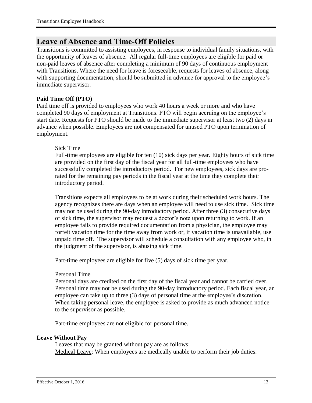# **Leave of Absence and Time-Off Policies**

Transitions is committed to assisting employees, in response to individual family situations, with the opportunity of leaves of absence. All regular full-time employees are eligible for paid or non-paid leaves of absence after completing a minimum of 90 days of continuous employment with Transitions. Where the need for leave is foreseeable, requests for leaves of absence, along with supporting documentation, should be submitted in advance for approval to the employee's immediate supervisor.

#### **Paid Time Off (PTO)**

Paid time off is provided to employees who work 40 hours a week or more and who have completed 90 days of employment at Transitions. PTO will begin accruing on the employee's start date. Requests for PTO should be made to the immediate supervisor at least two (2) days in advance when possible. Employees are not compensated for unused PTO upon termination of employment.

#### Sick Time

Full-time employees are eligible for ten (10) sick days per year. Eighty hours of sick time are provided on the first day of the fiscal year for all full-time employees who have successfully completed the introductory period. For new employees, sick days are prorated for the remaining pay periods in the fiscal year at the time they complete their introductory period.

Transitions expects all employees to be at work during their scheduled work hours. The agency recognizes there are days when an employee will need to use sick time. Sick time may not be used during the 90-day introductory period. After three (3) consecutive days of sick time, the supervisor may request a doctor's note upon returning to work. If an employee fails to provide required documentation from a physician, the employee may forfeit vacation time for the time away from work or, if vacation time is unavailable, use unpaid time off. The supervisor will schedule a consultation with any employee who, in the judgment of the supervisor, is abusing sick time.

Part-time employees are eligible for five (5) days of sick time per year.

#### Personal Time

Personal days are credited on the first day of the fiscal year and cannot be carried over. Personal time may not be used during the 90-day introductory period. Each fiscal year, an employee can take up to three (3) days of personal time at the employee's discretion. When taking personal leave, the employee is asked to provide as much advanced notice to the supervisor as possible.

Part-time employees are not eligible for personal time.

#### **Leave Without Pay**

Leaves that may be granted without pay are as follows: Medical Leave: When employees are medically unable to perform their job duties.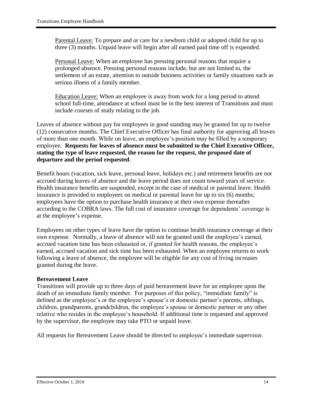Parental Leave: To prepare and or care for a newborn child or adopted child for up to three (3) months. Unpaid leave will begin after all earned paid time off is expended.

Personal Leave: When an employee has pressing personal reasons that require a prolonged absence. Pressing personal reasons include, but are not limited to, the settlement of an estate, attention to outside business activities or family situations such as serious illness of a family member.

Education Leave: When an employee is away from work for a long period to attend school full-time, attendance at school must be in the best interest of Transitions and must include courses of study relating to the job.

Leaves of absence without pay for employees in good standing may be granted for up to twelve (12) consecutive months. The Chief Executive Officer has final authority for approving all leaves of more than one month. While on leave, an employee's position may be filled by a temporary employee. **Requests for leaves of absence must be submitted to the Chief Executive Officer, stating the type of leave requested, the reason for the request, the proposed date of departure and the period requested**.

Benefit hours (vacation, sick leave, personal leave, holidays etc.) and retirement benefits are not accrued during leaves of absence and the leave period does not count toward years of service. Health insurance benefits are suspended, except in the case of medical or parental leave. Health insurance is provided to employees on medical or parental leave for up to six (6) months; employees have the option to purchase health insurance at their own expense thereafter according to the COBRA laws. The full cost of insurance coverage for dependents' coverage is at the employee's expense.

Employees on other types of leave have the option to continue health insurance coverage at their own expense. Normally, a leave of absence will not be granted until the employee's earned, accrued vacation time has been exhausted or, if granted for health reasons, the employee's earned, accrued vacation and sick time has been exhausted. When an employee returns to work following a leave of absence, the employee will be eligible for any cost of living increases granted during the leave.

#### **Bereavement Leave**

Transitions will provide up to three days of paid bereavement leave for an employee upon the death of an immediate family member. For purposes of this policy, "immediate family" is defined as the employee's or the employee's spouse's or domestic partner's parents, siblings, children, grandparents, grandchildren, the employee's spouse or domestic partner or any other relative who resides in the employee's household. If additional time is requested and approved by the supervisor, the employee may take PTO or unpaid leave.

All requests for Bereavement Leave should be directed to employee's immediate supervisor.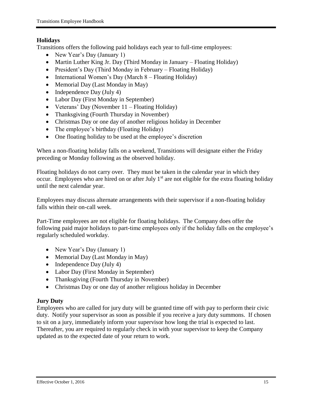#### **Holidays**

Transitions offers the following paid holidays each year to full-time employees:

- New Year's Day (January 1)
- Martin Luther King Jr. Day (Third Monday in January Floating Holiday)
- President's Day (Third Monday in February Floating Holiday)
- International Women's Day (March  $8$  Floating Holiday)
- Memorial Day (Last Monday in May)
- $\bullet$  Independence Day (July 4)
- Labor Day (First Monday in September)
- Veterans' Day (November 11 Floating Holiday)
- Thanksgiving (Fourth Thursday in November)
- Christmas Day or one day of another religious holiday in December
- The employee's birthday (Floating Holiday)
- One floating holiday to be used at the employee's discretion

When a non-floating holiday falls on a weekend, Transitions will designate either the Friday preceding or Monday following as the observed holiday.

Floating holidays do not carry over. They must be taken in the calendar year in which they occur. Employees who are hired on or after July  $1<sup>st</sup>$  are not eligible for the extra floating holiday until the next calendar year.

Employees may discuss alternate arrangements with their supervisor if a non-floating holiday falls within their on-call week.

Part-Time employees are not eligible for floating holidays. The Company does offer the following paid major holidays to part-time employees only if the holiday falls on the employee's regularly scheduled workday.

- New Year's Day (January 1)
- Memorial Day (Last Monday in May)
- $\bullet$  Independence Day (July 4)
- Labor Day (First Monday in September)
- Thanksgiving (Fourth Thursday in November)
- Christmas Day or one day of another religious holiday in December

#### **Jury Duty**

Employees who are called for jury duty will be granted time off with pay to perform their civic duty. Notify your supervisor as soon as possible if you receive a jury duty summons. If chosen to sit on a jury, immediately inform your supervisor how long the trial is expected to last. Thereafter, you are required to regularly check in with your supervisor to keep the Company updated as to the expected date of your return to work.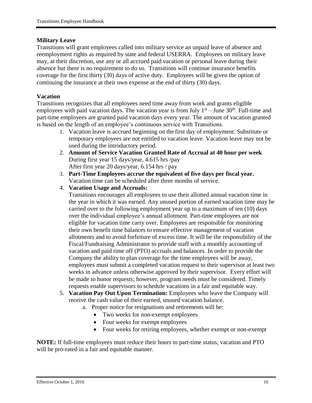#### **Military Leave**

Transitions will grant employees called into military service an unpaid leave of absence and reemployment rights as required by state and federal USERRA. Employees on military leave may, at their discretion, use any or all accrued paid vacation or personal leave during their absence but there is no requirement to do so. Transitions will continue insurance benefits coverage for the first thirty (30) days of active duty. Employees will be given the option of continuing the insurance at their own expense at the end of thirty (30) days.

#### **Vacation**

Transitions recognizes that all employees need time away from work and grants eligible employees with paid vacation days. The vacation year is from July  $1<sup>st</sup> -$  June  $30<sup>th</sup>$ . Full-time and part-time employees are granted paid vacation days every year. The amount of vacation granted is based on the length of an employee's continuous service with Transitions.

- 1. Vacation leave is accrued beginning on the first day of employment. Substitute or temporary employees are not entitled to vacation leave. Vacation leave may not be used during the introductory period.
- 2. **Amount of Service Vacation Granted Rate of Accrual at 40 hour per week** During first year 15 days/year, 4.615 hrs /pay After first year 20 days/year, 6.154 hrs / pay
- 3. **Part-Time Employees accrue the equivalent of five days per fiscal year.** Vacation time can be scheduled after three months of service.
- 4. **Vacation Usage and Accruals:**

Transitions encourages all employees to use their allotted annual vacation time in the year in which it was earned. Any unused portion of earned vacation time may be carried over to the following employment year up to a maximum of ten (10) days over the individual employee's annual allotment. Part-time employees are not eligible for vacation time carry over. Employees are responsible for monitoring their own benefit time balances to ensure effective management of vacation allotments and to avoid forfeiture of excess time. It will be the responsibility of the Fiscal/Fundraising Administrator to provide staff with a monthly accounting of vacation and paid time off (PTO) accruals and balances. In order to provide the Company the ability to plan coverage for the time employees will be away, employees must submit a completed vacation request to their supervisor at least two weeks in advance unless otherwise approved by their supervisor. Every effort will be made to honor requests; however, program needs must be considered. Timely requests enable supervisors to schedule vacations in a fair and equitable way.

- 5. **Vacation Pay Out Upon Termination:** Employees who leave the Company will receive the cash value of their earned, unused vacation balance.
	- a. Proper notice for resignations and retirements will be:
		- Two weeks for non-exempt employees
		- Four weeks for exempt employees
		- Four weeks for retiring employees, whether exempt or non-exempt

**NOTE:** If full-time employees must reduce their hours to part-time status, vacation and PTO will be pro-rated in a fair and equitable manner.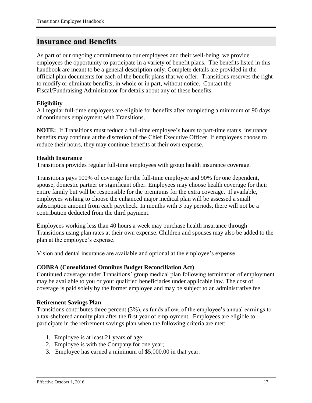# **Insurance and Benefits**

As part of our ongoing commitment to our employees and their well-being, we provide employees the opportunity to participate in a variety of benefit plans. The benefits listed in this handbook are meant to be a general description only. Complete details are provided in the official plan documents for each of the benefit plans that we offer. Transitions reserves the right to modify or eliminate benefits, in whole or in part, without notice. Contact the Fiscal/Fundraising Administrator for details about any of these benefits.

#### **Eligibility**

All regular full-time employees are eligible for benefits after completing a minimum of 90 days of continuous employment with Transitions.

**NOTE:** If Transitions must reduce a full-time employee's hours to part-time status, insurance benefits may continue at the discretion of the Chief Executive Officer. If employees choose to reduce their hours, they may continue benefits at their own expense.

#### **Health Insurance**

Transitions provides regular full-time employees with group health insurance coverage.

Transitions pays 100% of coverage for the full-time employee and 90% for one dependent, spouse, domestic partner or significant other. Employees may choose health coverage for their entire family but will be responsible for the premiums for the extra coverage. If available, employees wishing to choose the enhanced major medical plan will be assessed a small subscription amount from each paycheck. In months with 3 pay periods, there will not be a contribution deducted from the third payment.

Employees working less than 40 hours a week may purchase health insurance through Transitions using plan rates at their own expense. Children and spouses may also be added to the plan at the employee's expense.

Vision and dental insurance are available and optional at the employee's expense.

#### **COBRA (Consolidated Omnibus Budget Reconciliation Act)**

Continued coverage under Transitions' group medical plan following termination of employment may be available to you or your qualified beneficiaries under applicable law. The cost of coverage is paid solely by the former employee and may be subject to an administrative fee.

#### **Retirement Savings Plan**

Transitions contributes three percent (3%), as funds allow, of the employee's annual earnings to a tax-sheltered annuity plan after the first year of employment. Employees are eligible to participate in the retirement savings plan when the following criteria are met:

- 1. Employee is at least 21 years of age;
- 2. Employee is with the Company for one year;
- 3. Employee has earned a minimum of \$5,000.00 in that year.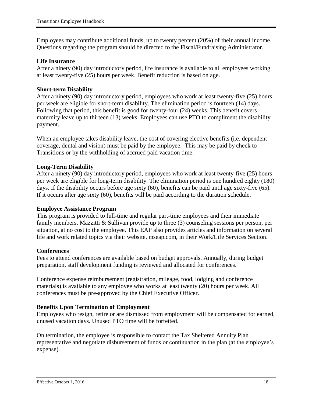Employees may contribute additional funds, up to twenty percent (20%) of their annual income. Questions regarding the program should be directed to the Fiscal/Fundraising Administrator.

#### **Life Insurance**

After a ninety (90) day introductory period, life insurance is available to all employees working at least twenty-five (25) hours per week. Benefit reduction is based on age.

#### **Short-term Disability**

After a ninety (90) day introductory period, employees who work at least twenty-five (25) hours per week are eligible for short-term disability. The elimination period is fourteen (14) days. Following that period, this benefit is good for twenty-four (24) weeks. This benefit covers maternity leave up to thirteen (13) weeks. Employees can use PTO to compliment the disability payment.

When an employee takes disability leave, the cost of covering elective benefits (i.e. dependent coverage, dental and vision) must be paid by the employee. This may be paid by check to Transitions or by the withholding of accrued paid vacation time.

#### **Long-Term Disability**

After a ninety (90) day introductory period, employees who work at least twenty-five (25) hours per week are eligible for long-term disability. The elimination period is one hundred eighty (180) days. If the disability occurs before age sixty (60), benefits can be paid until age sixty-five (65). If it occurs after age sixty (60), benefits will be paid according to the duration schedule.

#### **Employee Assistance Program**

This program is provided to full-time and regular part-time employees and their immediate family members. Mazzitti & Sullivan provide up to three (3) counseling sessions per person, per situation, at no cost to the employee. This EAP also provides articles and information on several life and work related topics via their website, mseap.com, in their Work/Life Services Section.

#### **Conferences**

Fees to attend conferences are available based on budget approvals. Annually, during budget preparation, staff development funding is reviewed and allocated for conferences.

Conference expense reimbursement (registration, mileage, food, lodging and conference materials) is available to any employee who works at least twenty (20) hours per week. All conferences must be pre-approved by the Chief Executive Officer.

#### **Benefits Upon Termination of Employment**

Employees who resign, retire or are dismissed from employment will be compensated for earned, unused vacation days. Unused PTO time will be forfeited.

On termination, the employee is responsible to contact the Tax Sheltered Annuity Plan representative and negotiate disbursement of funds or continuation in the plan (at the employee's expense).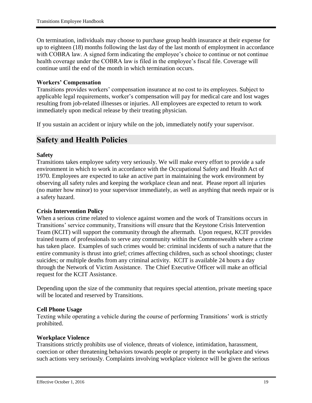On termination, individuals may choose to purchase group health insurance at their expense for up to eighteen (18) months following the last day of the last month of employment in accordance with COBRA law. A signed form indicating the employee's choice to continue or not continue health coverage under the COBRA law is filed in the employee's fiscal file. Coverage will continue until the end of the month in which termination occurs.

#### **Workers' Compensation**

Transitions provides workers' compensation insurance at no cost to its employees. Subject to applicable legal requirements, worker's compensation will pay for medical care and lost wages resulting from job-related illnesses or injuries. All employees are expected to return to work immediately upon medical release by their treating physician.

If you sustain an accident or injury while on the job, immediately notify your supervisor.

## **Safety and Health Policies**

#### **Safety**

Transitions takes employee safety very seriously. We will make every effort to provide a safe environment in which to work in accordance with the Occupational Safety and Health Act of 1970. Employees are expected to take an active part in maintaining the work environment by observing all safety rules and keeping the workplace clean and neat. Please report all injuries (no matter how minor) to your supervisor immediately, as well as anything that needs repair or is a safety hazard.

#### **Crisis Intervention Policy**

When a serious crime related to violence against women and the work of Transitions occurs in Transitions' service community, Transitions will ensure that the Keystone Crisis Intervention Team (KCIT) will support the community through the aftermath. Upon request, KCIT provides trained teams of professionals to serve any community within the Commonwealth where a crime has taken place. Examples of such crimes would be: criminal incidents of such a nature that the entire community is thrust into grief; crimes affecting children, such as school shootings; cluster suicides; or multiple deaths from any criminal activity. KCIT is available 24 hours a day through the Network of Victim Assistance. The Chief Executive Officer will make an official request for the KCIT Assistance.

Depending upon the size of the community that requires special attention, private meeting space will be located and reserved by Transitions.

#### **Cell Phone Usage**

Texting while operating a vehicle during the course of performing Transitions' work is strictly prohibited.

#### **Workplace Violence**

Transitions strictly prohibits use of violence, threats of violence, intimidation, harassment, coercion or other threatening behaviors towards people or property in the workplace and views such actions very seriously. Complaints involving workplace violence will be given the serious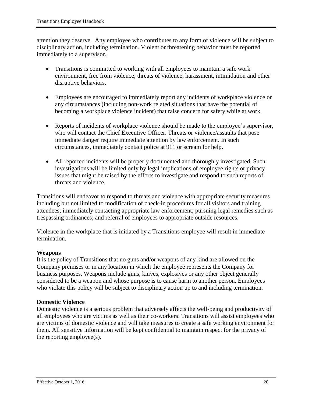attention they deserve. Any employee who contributes to any form of violence will be subject to disciplinary action, including termination. Violent or threatening behavior must be reported immediately to a supervisor.

- Transitions is committed to working with all employees to maintain a safe work environment, free from violence, threats of violence, harassment, intimidation and other disruptive behaviors.
- Employees are encouraged to immediately report any incidents of workplace violence or any circumstances (including non-work related situations that have the potential of becoming a workplace violence incident) that raise concern for safety while at work.
- Reports of incidents of workplace violence should be made to the employee's supervisor, who will contact the Chief Executive Officer. Threats or violence/assaults that pose immediate danger require immediate attention by law enforcement. In such circumstances, immediately contact police at 911 or scream for help.
- All reported incidents will be properly documented and thoroughly investigated. Such investigations will be limited only by legal implications of employee rights or privacy issues that might be raised by the efforts to investigate and respond to such reports of threats and violence.

Transitions will endeavor to respond to threats and violence with appropriate security measures including but not limited to modification of check-in procedures for all visitors and training attendees; immediately contacting appropriate law enforcement; pursuing legal remedies such as trespassing ordinances; and referral of employees to appropriate outside resources.

Violence in the workplace that is initiated by a Transitions employee will result in immediate termination.

#### **Weapons**

It is the policy of Transitions that no guns and/or weapons of any kind are allowed on the Company premises or in any location in which the employee represents the Company for business purposes. Weapons include guns, knives, explosives or any other object generally considered to be a weapon and whose purpose is to cause harm to another person. Employees who violate this policy will be subject to disciplinary action up to and including termination.

#### **Domestic Violence**

Domestic violence is a serious problem that adversely affects the well-being and productivity of all employees who are victims as well as their co-workers. Transitions will assist employees who are victims of domestic violence and will take measures to create a safe working environment for them. All sensitive information will be kept confidential to maintain respect for the privacy of the reporting employee(s).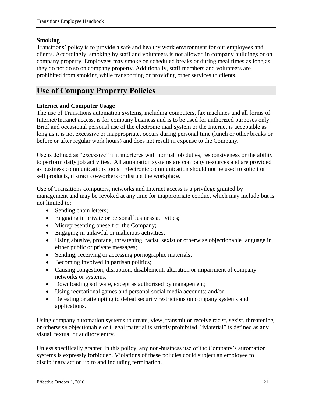#### **Smoking**

Transitions' policy is to provide a safe and healthy work environment for our employees and clients. Accordingly, smoking by staff and volunteers is not allowed in company buildings or on company property. Employees may smoke on scheduled breaks or during meal times as long as they do not do so on company property. Additionally, staff members and volunteers are prohibited from smoking while transporting or providing other services to clients.

# **Use of Company Property Policies**

#### **Internet and Computer Usage**

The use of Transitions automation systems, including computers, fax machines and all forms of Internet/Intranet access, is for company business and is to be used for authorized purposes only. Brief and occasional personal use of the electronic mail system or the Internet is acceptable as long as it is not excessive or inappropriate, occurs during personal time (lunch or other breaks or before or after regular work hours) and does not result in expense to the Company.

Use is defined as "excessive" if it interferes with normal job duties, responsiveness or the ability to perform daily job activities. All automation systems are company resources and are provided as business communications tools. Electronic communication should not be used to solicit or sell products, distract co-workers or disrupt the workplace.

Use of Transitions computers, networks and Internet access is a privilege granted by management and may be revoked at any time for inappropriate conduct which may include but is not limited to:

- Sending chain letters;
- Engaging in private or personal business activities;
- Misrepresenting oneself or the Company;
- Engaging in unlawful or malicious activities;
- Using abusive, profane, threatening, racist, sexist or otherwise objectionable language in either public or private messages;
- Sending, receiving or accessing pornographic materials;
- Becoming involved in partisan politics;
- Causing congestion, disruption, disablement, alteration or impairment of company networks or systems;
- Downloading software, except as authorized by management;
- Using recreational games and personal social media accounts; and/or
- Defeating or attempting to defeat security restrictions on company systems and applications.

Using company automation systems to create, view, transmit or receive racist, sexist, threatening or otherwise objectionable or illegal material is strictly prohibited. "Material" is defined as any visual, textual or auditory entry.

Unless specifically granted in this policy, any non-business use of the Company's automation systems is expressly forbidden. Violations of these policies could subject an employee to disciplinary action up to and including termination.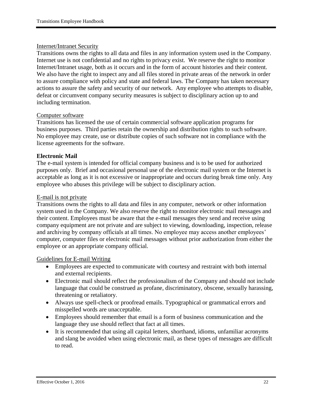#### Internet/Intranet Security

Transitions owns the rights to all data and files in any information system used in the Company. Internet use is not confidential and no rights to privacy exist. We reserve the right to monitor Internet/Intranet usage, both as it occurs and in the form of account histories and their content. We also have the right to inspect any and all files stored in private areas of the network in order to assure compliance with policy and state and federal laws. The Company has taken necessary actions to assure the safety and security of our network. Any employee who attempts to disable, defeat or circumvent company security measures is subject to disciplinary action up to and including termination.

#### Computer software

Transitions has licensed the use of certain commercial software application programs for business purposes. Third parties retain the ownership and distribution rights to such software. No employee may create, use or distribute copies of such software not in compliance with the license agreements for the software.

#### **Electronic Mail**

The e-mail system is intended for official company business and is to be used for authorized purposes only. Brief and occasional personal use of the electronic mail system or the Internet is acceptable as long as it is not excessive or inappropriate and occurs during break time only. Any employee who abuses this privilege will be subject to disciplinary action.

#### E-mail is not private

Transitions owns the rights to all data and files in any computer, network or other information system used in the Company. We also reserve the right to monitor electronic mail messages and their content. Employees must be aware that the e-mail messages they send and receive using company equipment are not private and are subject to viewing, downloading, inspection, release and archiving by company officials at all times. No employee may access another employees' computer, computer files or electronic mail messages without prior authorization from either the employee or an appropriate company official.

#### Guidelines for E-mail Writing

- Employees are expected to communicate with courtesy and restraint with both internal and external recipients.
- Electronic mail should reflect the professionalism of the Company and should not include language that could be construed as profane, discriminatory, obscene, sexually harassing, threatening or retaliatory.
- Always use spell-check or proofread emails. Typographical or grammatical errors and misspelled words are unacceptable.
- Employees should remember that email is a form of business communication and the language they use should reflect that fact at all times.
- It is recommended that using all capital letters, shorthand, idioms, unfamiliar acronyms and slang be avoided when using electronic mail, as these types of messages are difficult to read.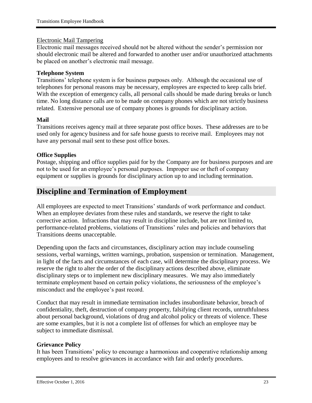#### Electronic Mail Tampering

Electronic mail messages received should not be altered without the sender's permission nor should electronic mail be altered and forwarded to another user and/or unauthorized attachments be placed on another's electronic mail message.

#### **Telephone System**

Transitions' telephone system is for business purposes only. Although the occasional use of telephones for personal reasons may be necessary, employees are expected to keep calls brief. With the exception of emergency calls, all personal calls should be made during breaks or lunch time. No long distance calls are to be made on company phones which are not strictly business related. Extensive personal use of company phones is grounds for disciplinary action.

#### **Mail**

Transitions receives agency mail at three separate post office boxes. These addresses are to be used only for agency business and for safe house guests to receive mail. Employees may not have any personal mail sent to these post office boxes.

#### **Office Supplies**

Postage, shipping and office supplies paid for by the Company are for business purposes and are not to be used for an employee's personal purposes. Improper use or theft of company equipment or supplies is grounds for disciplinary action up to and including termination.

# **Discipline and Termination of Employment**

All employees are expected to meet Transitions' standards of work performance and conduct. When an employee deviates from these rules and standards, we reserve the right to take corrective action. Infractions that may result in discipline include, but are not limited to, performance-related problems, violations of Transitions' rules and policies and behaviors that Transitions deems unacceptable.

Depending upon the facts and circumstances, disciplinary action may include counseling sessions, verbal warnings, written warnings, probation, suspension or termination. Management, in light of the facts and circumstances of each case, will determine the disciplinary process. We reserve the right to alter the order of the disciplinary actions described above, eliminate disciplinary steps or to implement new disciplinary measures. We may also immediately terminate employment based on certain policy violations, the seriousness of the employee's misconduct and the employee's past record.

Conduct that may result in immediate termination includes insubordinate behavior, breach of confidentiality, theft, destruction of company property, falsifying client records, untruthfulness about personal background, violations of drug and alcohol policy or threats of violence. These are some examples, but it is not a complete list of offenses for which an employee may be subject to immediate dismissal.

#### **Grievance Policy**

It has been Transitions' policy to encourage a harmonious and cooperative relationship among employees and to resolve grievances in accordance with fair and orderly procedures.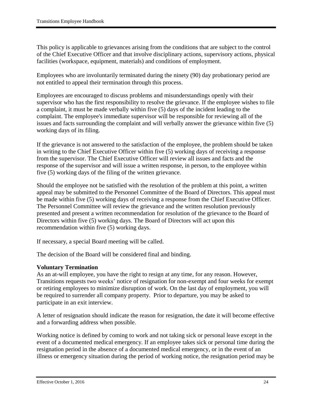This policy is applicable to grievances arising from the conditions that are subject to the control of the Chief Executive Officer and that involve disciplinary actions, supervisory actions, physical facilities (workspace, equipment, materials) and conditions of employment.

Employees who are involuntarily terminated during the ninety (90) day probationary period are not entitled to appeal their termination through this process.

Employees are encouraged to discuss problems and misunderstandings openly with their supervisor who has the first responsibility to resolve the grievance. If the employee wishes to file a complaint, it must be made verbally within five (5) days of the incident leading to the complaint. The employee's immediate supervisor will be responsible for reviewing all of the issues and facts surrounding the complaint and will verbally answer the grievance within five (5) working days of its filing.

If the grievance is not answered to the satisfaction of the employee, the problem should be taken in writing to the Chief Executive Officer within five (5) working days of receiving a response from the supervisor. The Chief Executive Officer will review all issues and facts and the response of the supervisor and will issue a written response, in person, to the employee within five (5) working days of the filing of the written grievance.

Should the employee not be satisfied with the resolution of the problem at this point, a written appeal may be submitted to the Personnel Committee of the Board of Directors. This appeal must be made within five (5) working days of receiving a response from the Chief Executive Officer. The Personnel Committee will review the grievance and the written resolution previously presented and present a written recommendation for resolution of the grievance to the Board of Directors within five (5) working days. The Board of Directors will act upon this recommendation within five (5) working days.

If necessary, a special Board meeting will be called.

The decision of the Board will be considered final and binding.

#### **Voluntary Termination**

As an at-will employee, you have the right to resign at any time, for any reason. However, Transitions requests two weeks' notice of resignation for non-exempt and four weeks for exempt or retiring employees to minimize disruption of work. On the last day of employment, you will be required to surrender all company property. Prior to departure, you may be asked to participate in an exit interview.

A letter of resignation should indicate the reason for resignation, the date it will become effective and a forwarding address when possible.

Working notice is defined by coming to work and not taking sick or personal leave except in the event of a documented medical emergency. If an employee takes sick or personal time during the resignation period in the absence of a documented medical emergency, or in the event of an illness or emergency situation during the period of working notice, the resignation period may be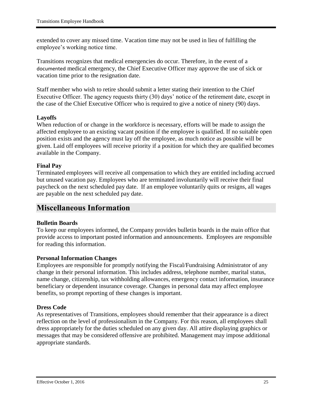extended to cover any missed time. Vacation time may not be used in lieu of fulfilling the employee's working notice time.

Transitions recognizes that medical emergencies do occur. Therefore, in the event of a documented medical emergency, the Chief Executive Officer may approve the use of sick or vacation time prior to the resignation date.

Staff member who wish to retire should submit a letter stating their intention to the Chief Executive Officer. The agency requests thirty (30) days' notice of the retirement date, except in the case of the Chief Executive Officer who is required to give a notice of ninety (90) days.

#### **Layoffs**

When reduction of or change in the workforce is necessary, efforts will be made to assign the affected employee to an existing vacant position if the employee is qualified. If no suitable open position exists and the agency must lay off the employee, as much notice as possible will be given. Laid off employees will receive priority if a position for which they are qualified becomes available in the Company.

#### **Final Pay**

Terminated employees will receive all compensation to which they are entitled including accrued but unused vacation pay. Employees who are terminated involuntarily will receive their final paycheck on the next scheduled pay date. If an employee voluntarily quits or resigns, all wages are payable on the next scheduled pay date.

# **Miscellaneous Information**

#### **Bulletin Boards**

To keep our employees informed, the Company provides bulletin boards in the main office that provide access to important posted information and announcements. Employees are responsible for reading this information.

#### **Personal Information Changes**

Employees are responsible for promptly notifying the Fiscal/Fundraising Administrator of any change in their personal information. This includes address, telephone number, marital status, name change, citizenship, tax withholding allowances, emergency contact information, insurance beneficiary or dependent insurance coverage. Changes in personal data may affect employee benefits, so prompt reporting of these changes is important.

#### **Dress Code**

As representatives of Transitions, employees should remember that their appearance is a direct reflection on the level of professionalism in the Company. For this reason, all employees shall dress appropriately for the duties scheduled on any given day. All attire displaying graphics or messages that may be considered offensive are prohibited. Management may impose additional appropriate standards.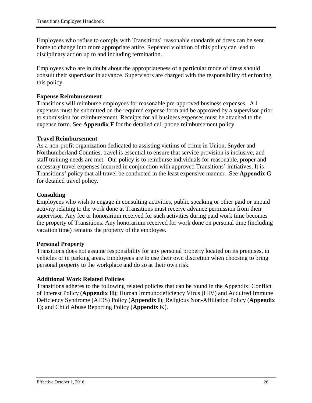Employees who refuse to comply with Transitions' reasonable standards of dress can be sent home to change into more appropriate attire. Repeated violation of this policy can lead to disciplinary action up to and including termination.

Employees who are in doubt about the appropriateness of a particular mode of dress should consult their supervisor in advance. Supervisors are charged with the responsibility of enforcing this policy.

#### **Expense Reimbursement**

Transitions will reimburse employees for reasonable pre-approved business expenses. All expenses must be submitted on the required expense form and be approved by a supervisor prior to submission for reimbursement. Receipts for all business expenses must be attached to the expense form. See **Appendix F** for the detailed cell phone reimbursement policy.

#### **Travel Reimbursement**

As a non-profit organization dedicated to assisting victims of crime in Union, Snyder and Northumberland Counties, travel is essential to ensure that service provision is inclusive, and staff training needs are met. Our policy is to reimburse individuals for reasonable, proper and necessary travel expenses incurred in conjunction with approved Transitions' initiatives. It is Transitions' policy that all travel be conducted in the least expensive manner. See **Appendix G** for detailed travel policy.

#### **Consulting**

Employees who wish to engage in consulting activities, public speaking or other paid or unpaid activity relating to the work done at Transitions must receive advance permission from their supervisor. Any fee or honorarium received for such activities during paid work time becomes the property of Transitions. Any honorarium received for work done on personal time (including vacation time) remains the property of the employee.

#### **Personal Property**

Transitions does not assume responsibility for any personal property located on its premises, in vehicles or in parking areas. Employees are to use their own discretion when choosing to bring personal property to the workplace and do so at their own risk.

#### **Additional Work Related Policies**

Transitions adheres to the following related policies that can be found in the Appendix: Conflict of Interest Policy (**Appendix H**); Human Immunodeficiency Virus (HIV) and Acquired Immune Deficiency Syndrome (AIDS) Policy (**Appendix I**); Religious Non-Affiliation Policy (**Appendix J**); and Child Abuse Reporting Policy (**Appendix K**).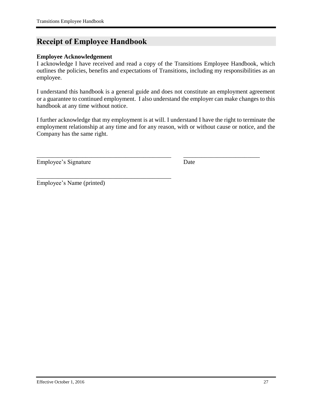# **Receipt of Employee Handbook**

#### **Employee Acknowledgement**

I acknowledge I have received and read a copy of the Transitions Employee Handbook, which outlines the policies, benefits and expectations of Transitions, including my responsibilities as an employee.

I understand this handbook is a general guide and does not constitute an employment agreement or a guarantee to continued employment. I also understand the employer can make changes to this handbook at any time without notice.

I further acknowledge that my employment is at will. I understand I have the right to terminate the employment relationship at any time and for any reason, with or without cause or notice, and the Company has the same right.

\_\_\_\_\_\_\_\_\_\_\_\_\_\_\_\_\_\_\_\_\_\_\_\_\_\_\_\_\_\_\_\_\_\_\_\_\_\_\_\_\_\_\_\_ \_\_\_\_\_\_\_\_\_\_\_\_\_\_\_\_\_\_\_\_\_\_\_\_\_

Employee's Signature Date

Employee's Name (printed)

\_\_\_\_\_\_\_\_\_\_\_\_\_\_\_\_\_\_\_\_\_\_\_\_\_\_\_\_\_\_\_\_\_\_\_\_\_\_\_\_\_\_\_\_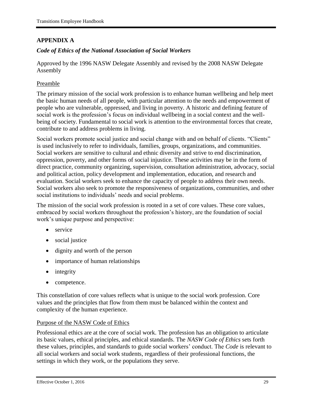### **APPENDIX A**

#### *Code of Ethics of the National Association of Social Workers*

Approved by the 1996 NASW Delegate Assembly and [revised by the 2008 NASW Delegate](javascript:;)  [Assembly](javascript:;)

#### Preamble

The primary mission of the social work profession is to enhance human wellbeing and help meet the basic human needs of all people, with particular attention to the needs and empowerment of people who are vulnerable, oppressed, and living in poverty. A historic and defining feature of social work is the profession's focus on individual wellbeing in a social context and the wellbeing of society. Fundamental to social work is attention to the environmental forces that create, contribute to and address problems in living.

Social workers promote social justice and social change with and on behalf of clients. "Clients" is used inclusively to refer to individuals, families, groups, organizations, and communities. Social workers are sensitive to cultural and ethnic diversity and strive to end discrimination, oppression, poverty, and other forms of social injustice. These activities may be in the form of direct practice, community organizing, supervision, consultation administration, advocacy, social and political action, policy development and implementation, education, and research and evaluation. Social workers seek to enhance the capacity of people to address their own needs. Social workers also seek to promote the responsiveness of organizations, communities, and other social institutions to individuals' needs and social problems.

The mission of the social work profession is rooted in a set of core values. These core values, embraced by social workers throughout the profession's history, are the foundation of social work's unique purpose and perspective:

- service
- social justice
- dignity and worth of the person
- importance of human relationships
- integrity
- competence.

This constellation of core values reflects what is unique to the social work profession. Core values and the principles that flow from them must be balanced within the context and complexity of the human experience.

#### Purpose of the NASW Code of Ethics

Professional ethics are at the core of social work. The profession has an obligation to articulate its basic values, ethical principles, and ethical standards. The *NASW Code of Ethics* sets forth these values, principles, and standards to guide social workers' conduct. The *Code* is relevant to all social workers and social work students, regardless of their professional functions, the settings in which they work, or the populations they serve.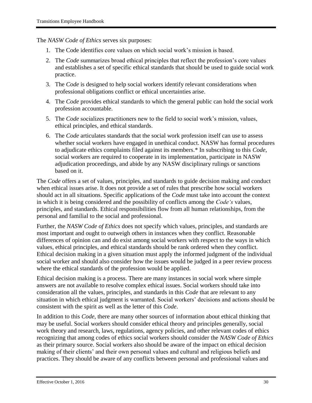The *NASW Code of Ethics* serves six purposes:

- 1. The Code identifies core values on which social work's mission is based.
- 2. The *Code* summarizes broad ethical principles that reflect the profession's core values and establishes a set of specific ethical standards that should be used to guide social work practice.
- 3. The *Code* is designed to help social workers identify relevant considerations when professional obligations conflict or ethical uncertainties arise.
- 4. The *Code* provides ethical standards to which the general public can hold the social work profession accountable.
- 5. The *Code* socializes practitioners new to the field to social work's mission, values, ethical principles, and ethical standards.
- 6. The *Code* articulates standards that the social work profession itself can use to assess whether social workers have engaged in unethical conduct. NASW has formal procedures to adjudicate ethics complaints filed against its members.\* In subscribing to this *Code*, social workers are required to cooperate in its implementation, participate in NASW adjudication proceedings, and abide by any NASW disciplinary rulings or sanctions based on it.

The *Code* offers a set of values, principles, and standards to guide decision making and conduct when ethical issues arise. It does not provide a set of rules that prescribe how social workers should act in all situations. Specific applications of the *Code* must take into account the context in which it is being considered and the possibility of conflicts among the *Code's* values, principles, and standards. Ethical responsibilities flow from all human relationships, from the personal and familial to the social and professional.

Further, the *NASW Code of Ethics* does not specify which values, principles, and standards are most important and ought to outweigh others in instances when they conflict. Reasonable differences of opinion can and do exist among social workers with respect to the ways in which values, ethical principles, and ethical standards should be rank ordered when they conflict. Ethical decision making in a given situation must apply the informed judgment of the individual social worker and should also consider how the issues would be judged in a peer review process where the ethical standards of the profession would be applied.

Ethical decision making is a process. There are many instances in social work where simple answers are not available to resolve complex ethical issues. Social workers should take into consideration all the values, principles, and standards in this *Code* that are relevant to any situation in which ethical judgment is warranted. Social workers' decisions and actions should be consistent with the spirit as well as the letter of this *Code*.

In addition to this *Code*, there are many other sources of information about ethical thinking that may be useful. Social workers should consider ethical theory and principles generally, social work theory and research, laws, regulations, agency policies, and other relevant codes of ethics recognizing that among codes of ethics social workers should consider the *NASW Code of Ethics*  as their primary source. Social workers also should be aware of the impact on ethical decision making of their clients' and their own personal values and cultural and religious beliefs and practices. They should be aware of any conflicts between personal and professional values and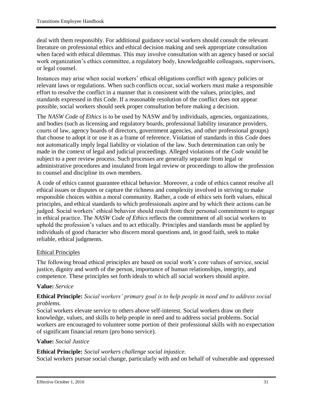deal with them responsibly. For additional guidance social workers should consult the relevant literature on professional ethics and ethical decision making and seek appropriate consultation when faced with ethical dilemmas. This may involve consultation with an agency based or social work organization's ethics committee, a regulatory body, knowledgeable colleagues, supervisors, or legal counsel.

Instances may arise when social workers' ethical obligations conflict with agency policies or relevant laws or regulations. When such conflicts occur, social workers must make a responsible effort to resolve the conflict in a manner that is consistent with the values, principles, and standards expressed in this Code. If a reasonable resolution of the conflict does not appear possible, social workers should seek proper consultation before making a decision.

The *NASW Code of Ethics* is to be used by NASW and by individuals, agencies, organizations, and bodies (such as licensing and regulatory boards, professional liability insurance providers, courts of law, agency boards of directors, government agencies, and other professional groups) that choose to adopt it or use it as a frame of reference. Violation of standards in this *Code* does not automatically imply legal liability or violation of the law. Such determination can only be made in the context of legal and judicial proceedings. Alleged violations of the *Code* would be subject to a peer review process. Such processes are generally separate from legal or administrative procedures and insulated from legal review or proceedings to allow the profession to counsel and discipline its own members.

A code of ethics cannot guarantee ethical behavior. Moreover, a code of ethics cannot resolve all ethical issues or disputes or capture the richness and complexity involved in striving to make responsible choices within a moral community. Rather, a code of ethics sets forth values, ethical principles, and ethical standards to which professionals aspire and by which their actions can be judged. Social workers' ethical behavior should result from their personal commitment to engage in ethical practice. The *NASW Code of Ethics* reflects the commitment of all social workers to uphold the profession's values and to act ethically. Principles and standards must be applied by individuals of good character who discern moral questions and, in good faith, seek to make reliable, ethical judgments.

#### Ethical Principles

The following broad ethical principles are based on social work's core values of service, social justice, dignity and worth of the person, importance of human relationships, integrity, and competence. These principles set forth ideals to which all social workers should aspire.

#### **Value:** *Service*

#### **Ethical Principle:** *Social workers' primary goal is to help people in need and to address social problems.*

Social workers elevate service to others above self-interest. Social workers draw on their knowledge, values, and skills to help people in need and to address social problems. Social workers are encouraged to volunteer some portion of their professional skills with no expectation of significant financial return (pro bono service).

#### **Value:** *Social Justice*

#### **Ethical Principle:** *Social workers challenge social injustice.*

Social workers pursue social change, particularly with and on behalf of vulnerable and oppressed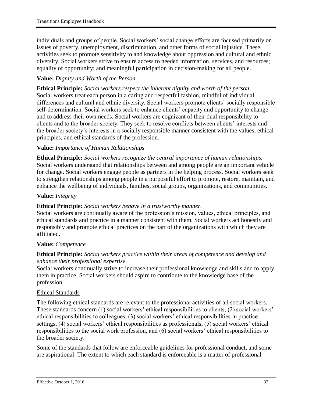individuals and groups of people. Social workers' social change efforts are focused primarily on issues of poverty, unemployment, discrimination, and other forms of social injustice. These activities seek to promote sensitivity to and knowledge about oppression and cultural and ethnic diversity. Social workers strive to ensure access to needed information, services, and resources; equality of opportunity; and meaningful participation in decision-making for all people.

#### **Value:** *Dignity and Worth of the Person*

**Ethical Principle:** *Social workers respect the inherent dignity and worth of the person.*  Social workers treat each person in a caring and respectful fashion, mindful of individual differences and cultural and ethnic diversity. Social workers promote clients' socially responsible self-determination. Social workers seek to enhance clients' capacity and opportunity to change and to address their own needs. Social workers are cognizant of their dual responsibility to clients and to the broader society. They seek to resolve conflicts between clients' interests and the broader society's interests in a socially responsible manner consistent with the values, ethical principles, and ethical standards of the profession.

#### **Value:** *Importance of Human Relationships*

**Ethical Principle:** *Social workers recognize the central importance of human relationships.*  Social workers understand that relationships between and among people are an important vehicle for change. Social workers engage people as partners in the helping process. Social workers seek to strengthen relationships among people in a purposeful effort to promote, restore, maintain, and enhance the wellbeing of individuals, families, social groups, organizations, and communities.

#### **Value:** *Integrity*

#### **Ethical Principle:** *Social workers behave in a trustworthy manner.*

Social workers are continually aware of the profession's mission, values, ethical principles, and ethical standards and practice in a manner consistent with them. Social workers act honestly and responsibly and promote ethical practices on the part of the organizations with which they are affiliated.

#### **Value:** *Competence*

#### **Ethical Principle:** *Social workers practice within their areas of competence and develop and enhance their professional expertise.*

Social workers continually strive to increase their professional knowledge and skills and to apply them in practice. Social workers should aspire to contribute to the knowledge base of the profession.

#### Ethical Standards

The following ethical standards are relevant to the professional activities of all social workers. These standards concern (1) social workers' ethical responsibilities to clients, (2) social workers' ethical responsibilities to colleagues, (3) social workers' ethical responsibilities in practice settings, (4) social workers' ethical responsibilities as professionals, (5) social workers' ethical responsibilities to the social work profession, and (6) social workers' ethical responsibilities to the broader society.

Some of the standards that follow are enforceable guidelines for professional conduct, and some are aspirational. The extent to which each standard is enforceable is a matter of professional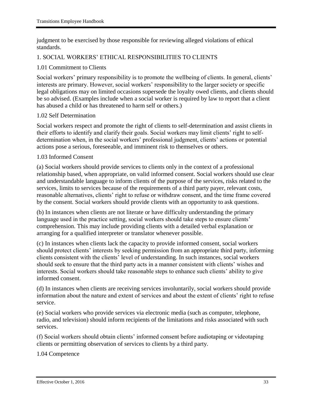judgment to be exercised by those responsible for reviewing alleged violations of ethical standards.

#### 1. SOCIAL WORKERS' ETHICAL RESPONSIBILITIES TO CLIENTS

#### 1.01 Commitment to Clients

Social workers' primary responsibility is to promote the wellbeing of clients. In general, clients' interests are primary. However, social workers' responsibility to the larger society or specific legal obligations may on limited occasions supersede the loyalty owed clients, and clients should be so advised. (Examples include when a social worker is required by law to report that a client has abused a child or has threatened to harm self or others.)

#### 1.02 Self Determination

Social workers respect and promote the right of clients to self-determination and assist clients in their efforts to identify and clarify their goals. Social workers may limit clients' right to selfdetermination when, in the social workers' professional judgment, clients' actions or potential actions pose a serious, foreseeable, and imminent risk to themselves or others.

#### 1.03 Informed Consent

(a) Social workers should provide services to clients only in the context of a professional relationship based, when appropriate, on valid informed consent. Social workers should use clear and understandable language to inform clients of the purpose of the services, risks related to the services, limits to services because of the requirements of a third party payer, relevant costs, reasonable alternatives, clients' right to refuse or withdraw consent, and the time frame covered by the consent. Social workers should provide clients with an opportunity to ask questions.

(b) In instances when clients are not literate or have difficulty understanding the primary language used in the practice setting, social workers should take steps to ensure clients' comprehension. This may include providing clients with a detailed verbal explanation or arranging for a qualified interpreter or translator whenever possible.

(c) In instances when clients lack the capacity to provide informed consent, social workers should protect clients' interests by seeking permission from an appropriate third party, informing clients consistent with the clients' level of understanding. In such instances, social workers should seek to ensure that the third party acts in a manner consistent with clients' wishes and interests. Social workers should take reasonable steps to enhance such clients' ability to give informed consent.

(d) In instances when clients are receiving services involuntarily, social workers should provide information about the nature and extent of services and about the extent of clients' right to refuse service.

(e) Social workers who provide services via electronic media (such as computer, telephone, radio, and television) should inform recipients of the limitations and risks associated with such services.

(f) Social workers should obtain clients' informed consent before audiotaping or videotaping clients or permitting observation of services to clients by a third party.

1.04 Competence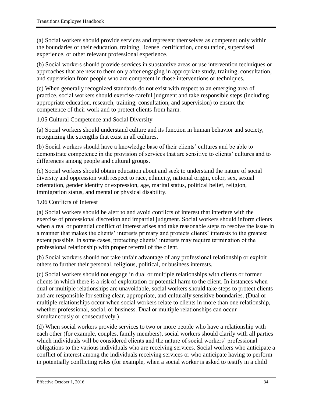(a) Social workers should provide services and represent themselves as competent only within the boundaries of their education, training, license, certification, consultation, supervised experience, or other relevant professional experience.

(b) Social workers should provide services in substantive areas or use intervention techniques or approaches that are new to them only after engaging in appropriate study, training, consultation, and supervision from people who are competent in those interventions or techniques.

(c) When generally recognized standards do not exist with respect to an emerging area of practice, social workers should exercise careful judgment and take responsible steps (including appropriate education, research, training, consultation, and supervision) to ensure the competence of their work and to protect clients from harm.

1.05 Cultural Competence and Social Diversity

(a) Social workers should understand culture and its function in human behavior and society, recognizing the strengths that exist in all cultures.

(b) Social workers should have a knowledge base of their clients' cultures and be able to demonstrate competence in the provision of services that are sensitive to clients' cultures and to differences among people and cultural groups.

(c) Social workers should obtain education about and seek to understand the nature of social diversity and oppression with respect to race, ethnicity, national origin, color, sex, sexual orientation, gender identity or expression, age, marital status, political belief, religion, immigration status, and mental or physical disability.

#### 1.06 Conflicts of Interest

(a) Social workers should be alert to and avoid conflicts of interest that interfere with the exercise of professional discretion and impartial judgment. Social workers should inform clients when a real or potential conflict of interest arises and take reasonable steps to resolve the issue in a manner that makes the clients' interests primary and protects clients' interests to the greatest extent possible. In some cases, protecting clients' interests may require termination of the professional relationship with proper referral of the client.

(b) Social workers should not take unfair advantage of any professional relationship or exploit others to further their personal, religious, political, or business interests.

(c) Social workers should not engage in dual or multiple relationships with clients or former clients in which there is a risk of exploitation or potential harm to the client. In instances when dual or multiple relationships are unavoidable, social workers should take steps to protect clients and are responsible for setting clear, appropriate, and culturally sensitive boundaries. (Dual or multiple relationships occur when social workers relate to clients in more than one relationship, whether professional, social, or business. Dual or multiple relationships can occur simultaneously or consecutively.)

(d) When social workers provide services to two or more people who have a relationship with each other (for example, couples, family members), social workers should clarify with all parties which individuals will be considered clients and the nature of social workers' professional obligations to the various individuals who are receiving services. Social workers who anticipate a conflict of interest among the individuals receiving services or who anticipate having to perform in potentially conflicting roles (for example, when a social worker is asked to testify in a child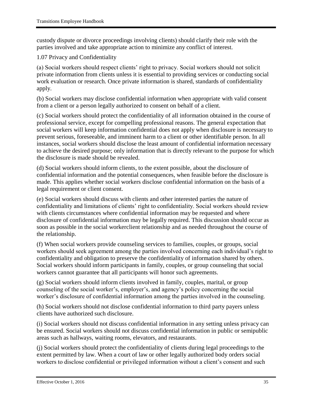custody dispute or divorce proceedings involving clients) should clarify their role with the parties involved and take appropriate action to minimize any conflict of interest.

1.07 Privacy and Confidentiality

(a) Social workers should respect clients' right to privacy. Social workers should not solicit private information from clients unless it is essential to providing services or conducting social work evaluation or research. Once private information is shared, standards of confidentiality apply.

(b) Social workers may disclose confidential information when appropriate with valid consent from a client or a person legally authorized to consent on behalf of a client.

(c) Social workers should protect the confidentiality of all information obtained in the course of professional service, except for compelling professional reasons. The general expectation that social workers will keep information confidential does not apply when disclosure is necessary to prevent serious, foreseeable, and imminent harm to a client or other identifiable person. In all instances, social workers should disclose the least amount of confidential information necessary to achieve the desired purpose; only information that is directly relevant to the purpose for which the disclosure is made should be revealed.

(d) Social workers should inform clients, to the extent possible, about the disclosure of confidential information and the potential consequences, when feasible before the disclosure is made. This applies whether social workers disclose confidential information on the basis of a legal requirement or client consent.

(e) Social workers should discuss with clients and other interested parties the nature of confidentiality and limitations of clients' right to confidentiality. Social workers should review with clients circumstances where confidential information may be requested and where disclosure of confidential information may be legally required. This discussion should occur as soon as possible in the social workerclient relationship and as needed throughout the course of the relationship.

(f) When social workers provide counseling services to families, couples, or groups, social workers should seek agreement among the parties involved concerning each individual's right to confidentiality and obligation to preserve the confidentiality of information shared by others. Social workers should inform participants in family, couples, or group counseling that social workers cannot guarantee that all participants will honor such agreements.

(g) Social workers should inform clients involved in family, couples, marital, or group counseling of the social worker's, employer's, and agency's policy concerning the social worker's disclosure of confidential information among the parties involved in the counseling.

(h) Social workers should not disclose confidential information to third party payers unless clients have authorized such disclosure.

(i) Social workers should not discuss confidential information in any setting unless privacy can be ensured. Social workers should not discuss confidential information in public or semipublic areas such as hallways, waiting rooms, elevators, and restaurants.

(j) Social workers should protect the confidentiality of clients during legal proceedings to the extent permitted by law. When a court of law or other legally authorized body orders social workers to disclose confidential or privileged information without a client's consent and such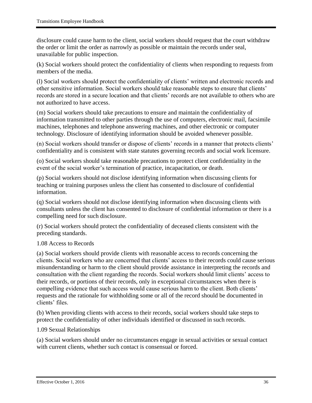disclosure could cause harm to the client, social workers should request that the court withdraw the order or limit the order as narrowly as possible or maintain the records under seal, unavailable for public inspection.

(k) Social workers should protect the confidentiality of clients when responding to requests from members of the media.

(l) Social workers should protect the confidentiality of clients' written and electronic records and other sensitive information. Social workers should take reasonable steps to ensure that clients' records are stored in a secure location and that clients' records are not available to others who are not authorized to have access.

(m) Social workers should take precautions to ensure and maintain the confidentiality of information transmitted to other parties through the use of computers, electronic mail, facsimile machines, telephones and telephone answering machines, and other electronic or computer technology. Disclosure of identifying information should be avoided whenever possible.

(n) Social workers should transfer or dispose of clients' records in a manner that protects clients' confidentiality and is consistent with state statutes governing records and social work licensure.

(o) Social workers should take reasonable precautions to protect client confidentiality in the event of the social worker's termination of practice, incapacitation, or death.

(p) Social workers should not disclose identifying information when discussing clients for teaching or training purposes unless the client has consented to disclosure of confidential information.

(q) Social workers should not disclose identifying information when discussing clients with consultants unless the client has consented to disclosure of confidential information or there is a compelling need for such disclosure.

(r) Social workers should protect the confidentiality of deceased clients consistent with the preceding standards.

#### 1.08 Access to Records

(a) Social workers should provide clients with reasonable access to records concerning the clients. Social workers who are concerned that clients' access to their records could cause serious misunderstanding or harm to the client should provide assistance in interpreting the records and consultation with the client regarding the records. Social workers should limit clients' access to their records, or portions of their records, only in exceptional circumstances when there is compelling evidence that such access would cause serious harm to the client. Both clients' requests and the rationale for withholding some or all of the record should be documented in clients' files.

(b) When providing clients with access to their records, social workers should take steps to protect the confidentiality of other individuals identified or discussed in such records.

1.09 Sexual Relationships

(a) Social workers should under no circumstances engage in sexual activities or sexual contact with current clients, whether such contact is consensual or forced.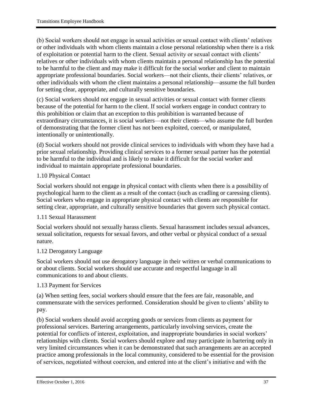(b) Social workers should not engage in sexual activities or sexual contact with clients' relatives or other individuals with whom clients maintain a close personal relationship when there is a risk of exploitation or potential harm to the client. Sexual activity or sexual contact with clients' relatives or other individuals with whom clients maintain a personal relationship has the potential to be harmful to the client and may make it difficult for the social worker and client to maintain appropriate professional boundaries. Social workers—not their clients, their clients' relatives, or other individuals with whom the client maintains a personal relationship—assume the full burden for setting clear, appropriate, and culturally sensitive boundaries.

(c) Social workers should not engage in sexual activities or sexual contact with former clients because of the potential for harm to the client. If social workers engage in conduct contrary to this prohibition or claim that an exception to this prohibition is warranted because of extraordinary circumstances, it is social workers—not their clients—who assume the full burden of demonstrating that the former client has not been exploited, coerced, or manipulated, intentionally or unintentionally.

(d) Social workers should not provide clinical services to individuals with whom they have had a prior sexual relationship. Providing clinical services to a former sexual partner has the potential to be harmful to the individual and is likely to make it difficult for the social worker and individual to maintain appropriate professional boundaries.

# 1.10 Physical Contact

Social workers should not engage in physical contact with clients when there is a possibility of psychological harm to the client as a result of the contact (such as cradling or caressing clients). Social workers who engage in appropriate physical contact with clients are responsible for setting clear, appropriate, and culturally sensitive boundaries that govern such physical contact.

### 1.11 Sexual Harassment

Social workers should not sexually harass clients. Sexual harassment includes sexual advances, sexual solicitation, requests for sexual favors, and other verbal or physical conduct of a sexual nature.

### 1.12 Derogatory Language

Social workers should not use derogatory language in their written or verbal communications to or about clients. Social workers should use accurate and respectful language in all communications to and about clients.

### 1.13 Payment for Services

(a) When setting fees, social workers should ensure that the fees are fair, reasonable, and commensurate with the services performed. Consideration should be given to clients' ability to pay.

(b) Social workers should avoid accepting goods or services from clients as payment for professional services. Bartering arrangements, particularly involving services, create the potential for conflicts of interest, exploitation, and inappropriate boundaries in social workers' relationships with clients. Social workers should explore and may participate in bartering only in very limited circumstances when it can be demonstrated that such arrangements are an accepted practice among professionals in the local community, considered to be essential for the provision of services, negotiated without coercion, and entered into at the client's initiative and with the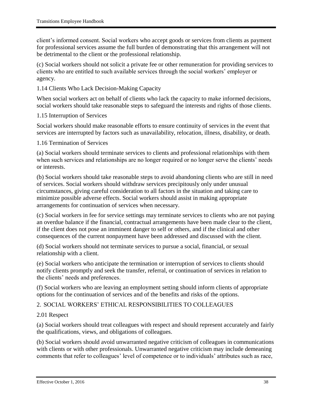client's informed consent. Social workers who accept goods or services from clients as payment for professional services assume the full burden of demonstrating that this arrangement will not be detrimental to the client or the professional relationship.

(c) Social workers should not solicit a private fee or other remuneration for providing services to clients who are entitled to such available services through the social workers' employer or agency.

#### 1.14 Clients Who Lack Decision-Making Capacity

When social workers act on behalf of clients who lack the capacity to make informed decisions, social workers should take reasonable steps to safeguard the interests and rights of those clients.

#### 1.15 Interruption of Services

Social workers should make reasonable efforts to ensure continuity of services in the event that services are interrupted by factors such as unavailability, relocation, illness, disability, or death.

#### 1.16 Termination of Services

(a) Social workers should terminate services to clients and professional relationships with them when such services and relationships are no longer required or no longer serve the clients' needs or interests.

(b) Social workers should take reasonable steps to avoid abandoning clients who are still in need of services. Social workers should withdraw services precipitously only under unusual circumstances, giving careful consideration to all factors in the situation and taking care to minimize possible adverse effects. Social workers should assist in making appropriate arrangements for continuation of services when necessary.

(c) Social workers in fee for service settings may terminate services to clients who are not paying an overdue balance if the financial, contractual arrangements have been made clear to the client, if the client does not pose an imminent danger to self or others, and if the clinical and other consequences of the current nonpayment have been addressed and discussed with the client.

(d) Social workers should not terminate services to pursue a social, financial, or sexual relationship with a client.

(e) Social workers who anticipate the termination or interruption of services to clients should notify clients promptly and seek the transfer, referral, or continuation of services in relation to the clients' needs and preferences.

(f) Social workers who are leaving an employment setting should inform clients of appropriate options for the continuation of services and of the benefits and risks of the options.

# 2. SOCIAL WORKERS' ETHICAL RESPONSIBILITIES TO COLLEAGUES

### 2.01 Respect

(a) Social workers should treat colleagues with respect and should represent accurately and fairly the qualifications, views, and obligations of colleagues.

(b) Social workers should avoid unwarranted negative criticism of colleagues in communications with clients or with other professionals. Unwarranted negative criticism may include demeaning comments that refer to colleagues' level of competence or to individuals' attributes such as race,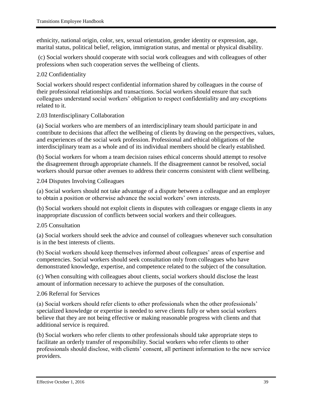ethnicity, national origin, color, sex, sexual orientation, gender identity or expression, age, marital status, political belief, religion, immigration status, and mental or physical disability.

(c) Social workers should cooperate with social work colleagues and with colleagues of other professions when such cooperation serves the wellbeing of clients.

# 2.02 Confidentiality

Social workers should respect confidential information shared by colleagues in the course of their professional relationships and transactions. Social workers should ensure that such colleagues understand social workers' obligation to respect confidentiality and any exceptions related to it.

### 2.03 Interdisciplinary Collaboration

(a) Social workers who are members of an interdisciplinary team should participate in and contribute to decisions that affect the wellbeing of clients by drawing on the perspectives, values, and experiences of the social work profession. Professional and ethical obligations of the interdisciplinary team as a whole and of its individual members should be clearly established.

(b) Social workers for whom a team decision raises ethical concerns should attempt to resolve the disagreement through appropriate channels. If the disagreement cannot be resolved, social workers should pursue other avenues to address their concerns consistent with client wellbeing.

# 2.04 Disputes Involving Colleagues

(a) Social workers should not take advantage of a dispute between a colleague and an employer to obtain a position or otherwise advance the social workers' own interests.

(b) Social workers should not exploit clients in disputes with colleagues or engage clients in any inappropriate discussion of conflicts between social workers and their colleagues.

### 2.05 Consultation

(a) Social workers should seek the advice and counsel of colleagues whenever such consultation is in the best interests of clients.

(b) Social workers should keep themselves informed about colleagues' areas of expertise and competencies. Social workers should seek consultation only from colleagues who have demonstrated knowledge, expertise, and competence related to the subject of the consultation.

(c) When consulting with colleagues about clients, social workers should disclose the least amount of information necessary to achieve the purposes of the consultation.

### 2.06 Referral for Services

(a) Social workers should refer clients to other professionals when the other professionals' specialized knowledge or expertise is needed to serve clients fully or when social workers believe that they are not being effective or making reasonable progress with clients and that additional service is required.

(b) Social workers who refer clients to other professionals should take appropriate steps to facilitate an orderly transfer of responsibility. Social workers who refer clients to other professionals should disclose, with clients' consent, all pertinent information to the new service providers.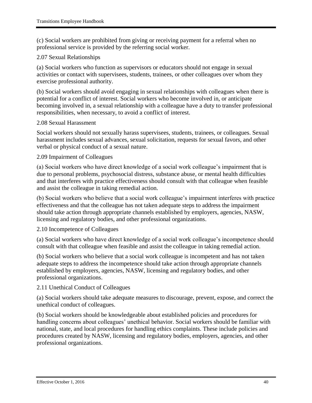(c) Social workers are prohibited from giving or receiving payment for a referral when no professional service is provided by the referring social worker.

### 2.07 Sexual Relationships

(a) Social workers who function as supervisors or educators should not engage in sexual activities or contact with supervisees, students, trainees, or other colleagues over whom they exercise professional authority.

(b) Social workers should avoid engaging in sexual relationships with colleagues when there is potential for a conflict of interest. Social workers who become involved in, or anticipate becoming involved in, a sexual relationship with a colleague have a duty to transfer professional responsibilities, when necessary, to avoid a conflict of interest.

### 2.08 Sexual Harassment

Social workers should not sexually harass supervisees, students, trainees, or colleagues. Sexual harassment includes sexual advances, sexual solicitation, requests for sexual favors, and other verbal or physical conduct of a sexual nature.

### 2.09 Impairment of Colleagues

(a) Social workers who have direct knowledge of a social work colleague's impairment that is due to personal problems, psychosocial distress, substance abuse, or mental health difficulties and that interferes with practice effectiveness should consult with that colleague when feasible and assist the colleague in taking remedial action.

(b) Social workers who believe that a social work colleague's impairment interferes with practice effectiveness and that the colleague has not taken adequate steps to address the impairment should take action through appropriate channels established by employers, agencies, NASW, licensing and regulatory bodies, and other professional organizations.

### 2.10 Incompetence of Colleagues

(a) Social workers who have direct knowledge of a social work colleague's incompetence should consult with that colleague when feasible and assist the colleague in taking remedial action.

(b) Social workers who believe that a social work colleague is incompetent and has not taken adequate steps to address the incompetence should take action through appropriate channels established by employers, agencies, NASW, licensing and regulatory bodies, and other professional organizations.

### 2.11 Unethical Conduct of Colleagues

(a) Social workers should take adequate measures to discourage, prevent, expose, and correct the unethical conduct of colleagues.

(b) Social workers should be knowledgeable about established policies and procedures for handling concerns about colleagues' unethical behavior. Social workers should be familiar with national, state, and local procedures for handling ethics complaints. These include policies and procedures created by NASW, licensing and regulatory bodies, employers, agencies, and other professional organizations.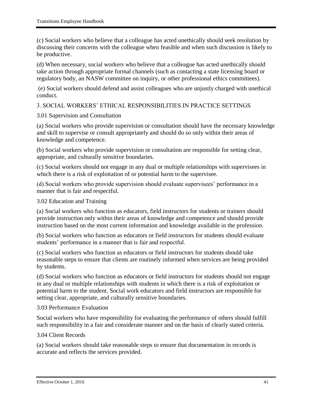(c) Social workers who believe that a colleague has acted unethically should seek resolution by discussing their concerns with the colleague when feasible and when such discussion is likely to be productive.

(d) When necessary, social workers who believe that a colleague has acted unethically should take action through appropriate formal channels (such as contacting a state licensing board or regulatory body, an NASW committee on inquiry, or other professional ethics committees).

(e) Social workers should defend and assist colleagues who are unjustly charged with unethical conduct.

# 3. SOCIAL WORKERS' ETHICAL RESPONSIBILITIES IN PRACTICE SETTINGS

#### 3.01 Supervision and Consultation

(a) Social workers who provide supervision or consultation should have the necessary knowledge and skill to supervise or consult appropriately and should do so only within their areas of knowledge and competence.

(b) Social workers who provide supervision or consultation are responsible for setting clear, appropriate, and culturally sensitive boundaries.

(c) Social workers should not engage in any dual or multiple relationships with supervisees in which there is a risk of exploitation of or potential harm to the supervisee.

(d) Social workers who provide supervision should evaluate supervisees' performance in a manner that is fair and respectful.

#### 3.02 Education and Training

(a) Social workers who function as educators, field instructors for students or trainers should provide instruction only within their areas of knowledge and competence and should provide instruction based on the most current information and knowledge available in the profession.

(b) Social workers who function as educators or field instructors for students should evaluate students' performance in a manner that is fair and respectful.

(c) Social workers who function as educators or field instructors for students should take reasonable steps to ensure that clients are routinely informed when services are being provided by students.

(d) Social workers who function as educators or field instructors for students should not engage in any dual or multiple relationships with students in which there is a risk of exploitation or potential harm to the student. Social work educators and field instructors are responsible for setting clear, appropriate, and culturally sensitive boundaries.

### 3.03 Performance Evaluation

Social workers who have responsibility for evaluating the performance of others should fulfill such responsibility in a fair and considerate manner and on the basis of clearly stated criteria.

#### 3.04 Client Records

(a) Social workers should take reasonable steps to ensure that documentation in records is accurate and reflects the services provided.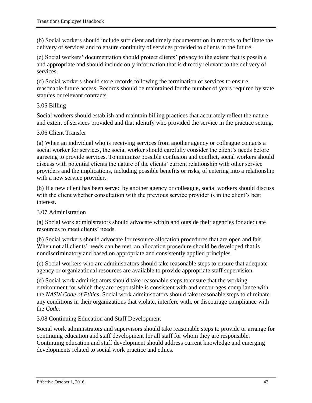(b) Social workers should include sufficient and timely documentation in records to facilitate the delivery of services and to ensure continuity of services provided to clients in the future.

(c) Social workers' documentation should protect clients' privacy to the extent that is possible and appropriate and should include only information that is directly relevant to the delivery of services.

(d) Social workers should store records following the termination of services to ensure reasonable future access. Records should be maintained for the number of years required by state statutes or relevant contracts.

# 3.05 Billing

Social workers should establish and maintain billing practices that accurately reflect the nature and extent of services provided and that identify who provided the service in the practice setting.

# 3.06 Client Transfer

(a) When an individual who is receiving services from another agency or colleague contacts a social worker for services, the social worker should carefully consider the client's needs before agreeing to provide services. To minimize possible confusion and conflict, social workers should discuss with potential clients the nature of the clients' current relationship with other service providers and the implications, including possible benefits or risks, of entering into a relationship with a new service provider.

(b) If a new client has been served by another agency or colleague, social workers should discuss with the client whether consultation with the previous service provider is in the client's best interest.

# 3.07 Administration

(a) Social work administrators should advocate within and outside their agencies for adequate resources to meet clients' needs.

(b) Social workers should advocate for resource allocation procedures that are open and fair. When not all clients' needs can be met, an allocation procedure should be developed that is nondiscriminatory and based on appropriate and consistently applied principles.

(c) Social workers who are administrators should take reasonable steps to ensure that adequate agency or organizational resources are available to provide appropriate staff supervision.

(d) Social work administrators should take reasonable steps to ensure that the working environment for which they are responsible is consistent with and encourages compliance with the *NASW Code of Ethics*. Social work administrators should take reasonable steps to eliminate any conditions in their organizations that violate, interfere with, or discourage compliance with the *Code*.

### 3.08 Continuing Education and Staff Development

Social work administrators and supervisors should take reasonable steps to provide or arrange for continuing education and staff development for all staff for whom they are responsible. Continuing education and staff development should address current knowledge and emerging developments related to social work practice and ethics.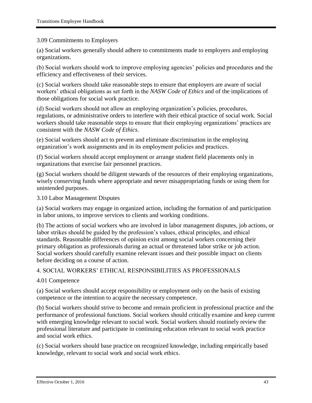### 3.09 Commitments to Employers

(a) Social workers generally should adhere to commitments made to employers and employing organizations.

(b) Social workers should work to improve employing agencies' policies and procedures and the efficiency and effectiveness of their services.

(c) Social workers should take reasonable steps to ensure that employers are aware of social workers' ethical obligations as set forth in the *NASW Code of Ethics* and of the implications of those obligations for social work practice.

(d) Social workers should not allow an employing organization's policies, procedures, regulations, or administrative orders to interfere with their ethical practice of social work. Social workers should take reasonable steps to ensure that their employing organizations' practices are consistent with the *NASW Code of Ethics*.

(e) Social workers should act to prevent and eliminate discrimination in the employing organization's work assignments and in its employment policies and practices.

(f) Social workers should accept employment or arrange student field placements only in organizations that exercise fair personnel practices.

(g) Social workers should be diligent stewards of the resources of their employing organizations, wisely conserving funds where appropriate and never misappropriating funds or using them for unintended purposes.

### 3.10 Labor Management Disputes

(a) Social workers may engage in organized action, including the formation of and participation in labor unions, to improve services to clients and working conditions.

(b) The actions of social workers who are involved in labor management disputes, job actions, or labor strikes should be guided by the profession's values, ethical principles, and ethical standards. Reasonable differences of opinion exist among social workers concerning their primary obligation as professionals during an actual or threatened labor strike or job action. Social workers should carefully examine relevant issues and their possible impact on clients before deciding on a course of action.

### 4. SOCIAL WORKERS' ETHICAL RESPONSIBILITIES AS PROFESSIONALS

### 4.01 Competence

(a) Social workers should accept responsibility or employment only on the basis of existing competence or the intention to acquire the necessary competence.

(b) Social workers should strive to become and remain proficient in professional practice and the performance of professional functions. Social workers should critically examine and keep current with emerging knowledge relevant to social work. Social workers should routinely review the professional literature and participate in continuing education relevant to social work practice and social work ethics.

(c) Social workers should base practice on recognized knowledge, including empirically based knowledge, relevant to social work and social work ethics.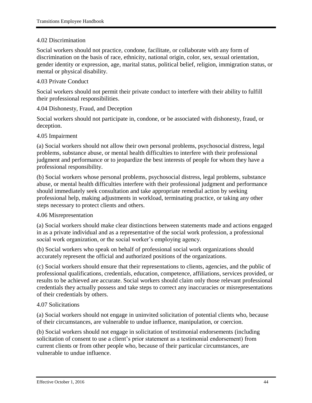### 4.02 Discrimination

Social workers should not practice, condone, facilitate, or collaborate with any form of discrimination on the basis of race, ethnicity, national origin, color, sex, sexual orientation, gender identity or expression, age, marital status, political belief, religion, immigration status, or mental or physical disability.

#### 4.03 Private Conduct

Social workers should not permit their private conduct to interfere with their ability to fulfill their professional responsibilities.

#### 4.04 Dishonesty, Fraud, and Deception

Social workers should not participate in, condone, or be associated with dishonesty, fraud, or deception.

#### 4.05 Impairment

(a) Social workers should not allow their own personal problems, psychosocial distress, legal problems, substance abuse, or mental health difficulties to interfere with their professional judgment and performance or to jeopardize the best interests of people for whom they have a professional responsibility.

(b) Social workers whose personal problems, psychosocial distress, legal problems, substance abuse, or mental health difficulties interfere with their professional judgment and performance should immediately seek consultation and take appropriate remedial action by seeking professional help, making adjustments in workload, terminating practice, or taking any other steps necessary to protect clients and others.

### 4.06 Misrepresentation

(a) Social workers should make clear distinctions between statements made and actions engaged in as a private individual and as a representative of the social work profession, a professional social work organization, or the social worker's employing agency.

(b) Social workers who speak on behalf of professional social work organizations should accurately represent the official and authorized positions of the organizations.

(c) Social workers should ensure that their representations to clients, agencies, and the public of professional qualifications, credentials, education, competence, affiliations, services provided, or results to be achieved are accurate. Social workers should claim only those relevant professional credentials they actually possess and take steps to correct any inaccuracies or misrepresentations of their credentials by others.

### 4.07 Solicitations

(a) Social workers should not engage in uninvited solicitation of potential clients who, because of their circumstances, are vulnerable to undue influence, manipulation, or coercion.

(b) Social workers should not engage in solicitation of testimonial endorsements (including solicitation of consent to use a client's prior statement as a testimonial endorsement) from current clients or from other people who, because of their particular circumstances, are vulnerable to undue influence.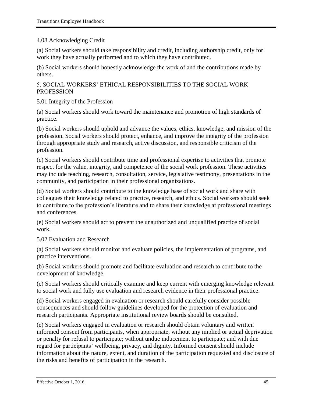# 4.08 Acknowledging Credit

(a) Social workers should take responsibility and credit, including authorship credit, only for work they have actually performed and to which they have contributed.

(b) Social workers should honestly acknowledge the work of and the contributions made by others.

### 5. SOCIAL WORKERS' ETHICAL RESPONSIBILITIES TO THE SOCIAL WORK **PROFESSION**

5.01 Integrity of the Profession

(a) Social workers should work toward the maintenance and promotion of high standards of practice.

(b) Social workers should uphold and advance the values, ethics, knowledge, and mission of the profession. Social workers should protect, enhance, and improve the integrity of the profession through appropriate study and research, active discussion, and responsible criticism of the profession.

(c) Social workers should contribute time and professional expertise to activities that promote respect for the value, integrity, and competence of the social work profession. These activities may include teaching, research, consultation, service, legislative testimony, presentations in the community, and participation in their professional organizations.

(d) Social workers should contribute to the knowledge base of social work and share with colleagues their knowledge related to practice, research, and ethics. Social workers should seek to contribute to the profession's literature and to share their knowledge at professional meetings and conferences.

(e) Social workers should act to prevent the unauthorized and unqualified practice of social work.

5.02 Evaluation and Research

(a) Social workers should monitor and evaluate policies, the implementation of programs, and practice interventions.

(b) Social workers should promote and facilitate evaluation and research to contribute to the development of knowledge.

(c) Social workers should critically examine and keep current with emerging knowledge relevant to social work and fully use evaluation and research evidence in their professional practice.

(d) Social workers engaged in evaluation or research should carefully consider possible consequences and should follow guidelines developed for the protection of evaluation and research participants. Appropriate institutional review boards should be consulted.

(e) Social workers engaged in evaluation or research should obtain voluntary and written informed consent from participants, when appropriate, without any implied or actual deprivation or penalty for refusal to participate; without undue inducement to participate; and with due regard for participants' wellbeing, privacy, and dignity. Informed consent should include information about the nature, extent, and duration of the participation requested and disclosure of the risks and benefits of participation in the research.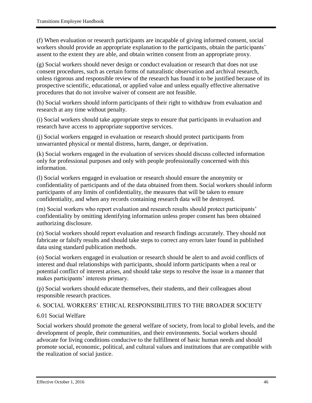(f) When evaluation or research participants are incapable of giving informed consent, social workers should provide an appropriate explanation to the participants, obtain the participants' assent to the extent they are able, and obtain written consent from an appropriate proxy.

(g) Social workers should never design or conduct evaluation or research that does not use consent procedures, such as certain forms of naturalistic observation and archival research, unless rigorous and responsible review of the research has found it to be justified because of its prospective scientific, educational, or applied value and unless equally effective alternative procedures that do not involve waiver of consent are not feasible.

(h) Social workers should inform participants of their right to withdraw from evaluation and research at any time without penalty.

(i) Social workers should take appropriate steps to ensure that participants in evaluation and research have access to appropriate supportive services.

(j) Social workers engaged in evaluation or research should protect participants from unwarranted physical or mental distress, harm, danger, or deprivation.

(k) Social workers engaged in the evaluation of services should discuss collected information only for professional purposes and only with people professionally concerned with this information.

(l) Social workers engaged in evaluation or research should ensure the anonymity or confidentiality of participants and of the data obtained from them. Social workers should inform participants of any limits of confidentiality, the measures that will be taken to ensure confidentiality, and when any records containing research data will be destroyed.

(m) Social workers who report evaluation and research results should protect participants' confidentiality by omitting identifying information unless proper consent has been obtained authorizing disclosure.

(n) Social workers should report evaluation and research findings accurately. They should not fabricate or falsify results and should take steps to correct any errors later found in published data using standard publication methods.

(o) Social workers engaged in evaluation or research should be alert to and avoid conflicts of interest and dual relationships with participants, should inform participants when a real or potential conflict of interest arises, and should take steps to resolve the issue in a manner that makes participants' interests primary.

(p) Social workers should educate themselves, their students, and their colleagues about responsible research practices.

# 6. SOCIAL WORKERS' ETHICAL RESPONSIBILITIES TO THE BROADER SOCIETY

### 6.01 Social Welfare

Social workers should promote the general welfare of society, from local to global levels, and the development of people, their communities, and their environments. Social workers should advocate for living conditions conducive to the fulfillment of basic human needs and should promote social, economic, political, and cultural values and institutions that are compatible with the realization of social justice.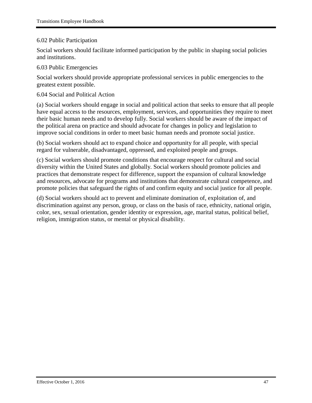### 6.02 Public Participation

Social workers should facilitate informed participation by the public in shaping social policies and institutions.

### 6.03 Public Emergencies

Social workers should provide appropriate professional services in public emergencies to the greatest extent possible.

### 6.04 Social and Political Action

(a) Social workers should engage in social and political action that seeks to ensure that all people have equal access to the resources, employment, services, and opportunities they require to meet their basic human needs and to develop fully. Social workers should be aware of the impact of the political arena on practice and should advocate for changes in policy and legislation to improve social conditions in order to meet basic human needs and promote social justice.

(b) Social workers should act to expand choice and opportunity for all people, with special regard for vulnerable, disadvantaged, oppressed, and exploited people and groups.

(c) Social workers should promote conditions that encourage respect for cultural and social diversity within the United States and globally. Social workers should promote policies and practices that demonstrate respect for difference, support the expansion of cultural knowledge and resources, advocate for programs and institutions that demonstrate cultural competence, and promote policies that safeguard the rights of and confirm equity and social justice for all people.

(d) Social workers should act to prevent and eliminate domination of, exploitation of, and discrimination against any person, group, or class on the basis of race, ethnicity, national origin, color, sex, sexual orientation, gender identity or expression, age, marital status, political belief, religion, immigration status, or mental or physical disability.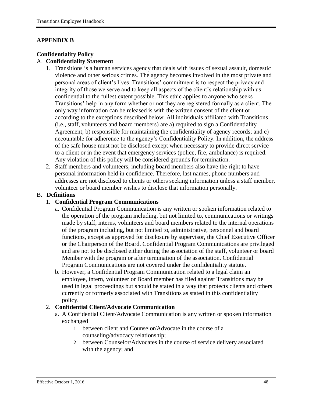# **APPENDIX B**

#### **Confidentiality Policy**

#### A. **Confidentiality Statement**

- 1. Transitions is a human services agency that deals with issues of sexual assault, domestic violence and other serious crimes. The agency becomes involved in the most private and personal areas of client's lives. Transitions' commitment is to respect the privacy and integrity of those we serve and to keep all aspects of the client's relationship with us confidential to the fullest extent possible. This ethic applies to anyone who seeks Transitions' help in any form whether or not they are registered formally as a client. The only way information can be released is with the written consent of the client or according to the exceptions described below. All individuals affiliated with Transitions (i.e., staff, volunteers and board members) are a) required to sign a Confidentiality Agreement; b) responsible for maintaining the confidentiality of agency records; and c) accountable for adherence to the agency's Confidentiality Policy. In addition, the address of the safe house must not be disclosed except when necessary to provide direct service to a client or in the event that emergency services (police, fire, ambulance) is required. Any violation of this policy will be considered grounds for termination.
- 2. Staff members and volunteers, including board members also have the right to have personal information held in confidence. Therefore, last names, phone numbers and addresses are not disclosed to clients or others seeking information unless a staff member, volunteer or board member wishes to disclose that information personally.

#### B. **Definitions**

#### 1. **Confidential Program Communications**

- a. Confidential Program Communication is any written or spoken information related to the operation of the program including, but not limited to, communications or writings made by staff, interns, volunteers and board members related to the internal operations of the program including, but not limited to, administrative, personnel and board functions, except as approved for disclosure by supervisor, the Chief Executive Officer or the Chairperson of the Board. Confidential Program Communications are privileged and are not to be disclosed either during the association of the staff, volunteer or board Member with the program or after termination of the association. Confidential Program Communications are not covered under the confidentiality statute.
- b. However, a Confidential Program Communication related to a legal claim an employee, intern, volunteer or Board member has filed against Transitions may be used in legal proceedings but should be stated in a way that protects clients and others currently or formerly associated with Transitions as stated in this confidentiality policy.

#### 2. **Confidential Client/Advocate Communication**

- a. A Confidential Client/Advocate Communication is any written or spoken information exchanged
	- 1. between client and Counselor/Advocate in the course of a counseling/advocacy relationship;
	- 2. between Counselor/Advocates in the course of service delivery associated with the agency; and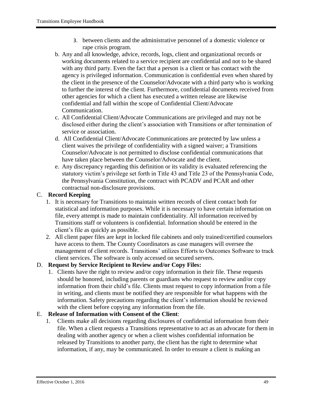- 3. between clients and the administrative personnel of a domestic violence or rape crisis program.
- b. Any and all knowledge, advice, records, logs, client and organizational records or working documents related to a service recipient are confidential and not to be shared with any third party. Even the fact that a person is a client or has contact with the agency is privileged information. Communication is confidential even when shared by the client in the presence of the Counselor/Advocate with a third party who is working to further the interest of the client. Furthermore, confidential documents received from other agencies for which a client has executed a written release are likewise confidential and fall within the scope of Confidential Client/Advocate Communication.
- c. All Confidential Client/Advocate Communications are privileged and may not be disclosed either during the client's association with Transitions or after termination of service or association.
- d. All Confidential Client/Advocate Communications are protected by law unless a client waives the privilege of confidentiality with a signed waiver; a Transitions Counselor/Advocate is not permitted to disclose confidential communications that have taken place between the Counselor/Advocate and the client.
- e. Any discrepancy regarding this definition or its validity is evaluated referencing the statutory victim's privilege set forth in Title 43 and Title 23 of the Pennsylvania Code, the Pennsylvania Constitution, the contract with PCADV and PCAR and other contractual non-disclosure provisions.

# C. **Record Keeping**

- 1. It is necessary for Transitions to maintain written records of client contact both for statistical and information purposes. While it is necessary to have certain information on file, every attempt is made to maintain confidentiality. All information received by Transitions staff or volunteers is confidential. Information should be entered in the client's file as quickly as possible.
- 2. All client paper files are kept in locked file cabinets and only trained/certified counselors have access to them. The County Coordinators as case managers will oversee the management of client records. Transitions' utilizes Efforts to Outcomes Software to track client services. The software is only accessed on secured servers.

# D. **Request by Service Recipient to Review and/or Copy Files:**

1. Clients have the right to review and/or copy information in their file. These requests should be honored, including parents or guardians who request to review and/or copy information from their child's file. Clients must request to copy information from a file in writing, and clients must be notified they are responsible for what happens with the information. Safety precautions regarding the client's information should be reviewed with the client before copying any information from the file.

# E. **Release of Information with Consent of the Client**:

1. Clients make all decisions regarding disclosures of confidential information from their file. When a client requests a Transitions representative to act as an advocate for them in dealing with another agency or when a client wishes confidential information be released by Transitions to another party, the client has the right to determine what information, if any, may be communicated. In order to ensure a client is making an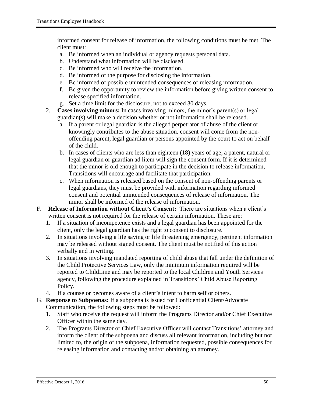informed consent for release of information, the following conditions must be met. The client must:

- a. Be informed when an individual or agency requests personal data.
- b. Understand what information will be disclosed.
- c. Be informed who will receive the information.
- d. Be informed of the purpose for disclosing the information.
- e. Be informed of possible unintended consequences of releasing information.
- f. Be given the opportunity to review the information before giving written consent to release specified information.
- g. Set a time limit for the disclosure, not to exceed 30 days.
- 2. **Cases involving minors:** In cases involving minors, the minor's parent(s) or legal guardian(s) will make a decision whether or not information shall be released.
	- a. If a parent or legal guardian is the alleged perpetrator of abuse of the client or knowingly contributes to the abuse situation, consent will come from the nonoffending parent, legal guardian or persons appointed by the court to act on behalf of the child.
	- b. In cases of clients who are less than eighteen (18) years of age, a parent, natural or legal guardian or guardian ad litem will sign the consent form. If it is determined that the minor is old enough to participate in the decision to release information, Transitions will encourage and facilitate that participation.
	- c. When information is released based on the consent of non-offending parents or legal guardians, they must be provided with information regarding informed consent and potential unintended consequences of release of information. The minor shall be informed of the release of information.
- F. **Release of Information without Client's Consent:** There are situations when a client's written consent is not required for the release of certain information. These are:
	- 1. If a situation of incompetence exists and a legal guardian has been appointed for the client, only the legal guardian has the right to consent to disclosure.
	- 2. In situations involving a life saving or life threatening emergency, pertinent information may be released without signed consent. The client must be notified of this action verbally and in writing.
	- 3. In situations involving mandated reporting of child abuse that fall under the definition of the Child Protective Services Law, only the minimum information required will be reported to ChildLine and may be reported to the local Children and Youth Services agency, following the procedure explained in Transitions' Child Abuse Reporting Policy.
	- 4. If a counselor becomes aware of a client's intent to harm self or others.
- G. **Response to Subpoenas:** If a subpoena is issued for Confidential Client/Advocate Communication, the following steps must be followed:
	- 1. Staff who receive the request will inform the Programs Director and/or Chief Executive Officer within the same day.
	- 2. The Programs Director or Chief Executive Officer will contact Transitions' attorney and inform the client of the subpoena and discuss all relevant information, including but not limited to, the origin of the subpoena, information requested, possible consequences for releasing information and contacting and/or obtaining an attorney.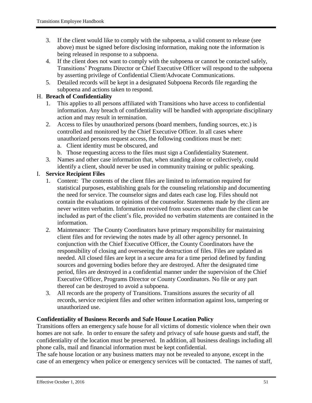- 3. If the client would like to comply with the subpoena, a valid consent to release (see above) must be signed before disclosing information, making note the information is being released in response to a subpoena.
- 4. If the client does not want to comply with the subpoena or cannot be contacted safely, Transitions' Programs Director or Chief Executive Officer will respond to the subpoena by asserting privilege of Confidential Client/Advocate Communications.
- 5. Detailed records will be kept in a designated Subpoena Records file regarding the subpoena and actions taken to respond.

### H. **Breach of Confidentiality**

- 1. This applies to all persons affiliated with Transitions who have access to confidential information. Any breach of confidentiality will be handled with appropriate disciplinary action and may result in termination.
- 2. Access to files by unauthorized persons (board members, funding sources, etc.) is controlled and monitored by the Chief Executive Officer. In all cases where unauthorized persons request access, the following conditions must be met:
	- a. Client identity must be obscured, and
	- b. Those requesting access to the files must sign a Confidentiality Statement.
- 3. Names and other case information that, when standing alone or collectively, could identify a client, should never be used in community training or public speaking.

#### I. **Service Recipient Files**

- 1. Content: The contents of the client files are limited to information required for statistical purposes, establishing goals for the counseling relationship and documenting the need for service. The counselor signs and dates each case log. Files should not contain the evaluations or opinions of the counselor. Statements made by the client are never written verbatim. Information received from sources other than the client can be included as part of the client's file, provided no verbatim statements are contained in the information.
- 2. Maintenance: The County Coordinators have primary responsibility for maintaining client files and for reviewing the notes made by all other agency personnel. In conjunction with the Chief Executive Officer, the County Coordinators have the responsibility of closing and overseeing the destruction of files. Files are updated as needed. All closed files are kept in a secure area for a time period defined by funding sources and governing bodies before they are destroyed. After the designated time period, files are destroyed in a confidential manner under the supervision of the Chief Executive Officer, Programs Director or County Coordinators. No file or any part thereof can be destroyed to avoid a subpoena.
- 3. All records are the property of Transitions. Transitions assures the security of all records, service recipient files and other written information against loss, tampering or unauthorized use.

#### **Confidentiality of Business Records and Safe House Location Policy**

Transitions offers an emergency safe house for all victims of domestic violence when their own homes are not safe. In order to ensure the safety and privacy of safe house guests and staff, the confidentiality of the location must be preserved. In addition, all business dealings including all phone calls, mail and financial information must be kept confidential.

The safe house location or any business matters may not be revealed to anyone, except in the case of an emergency when police or emergency services will be contacted. The names of staff,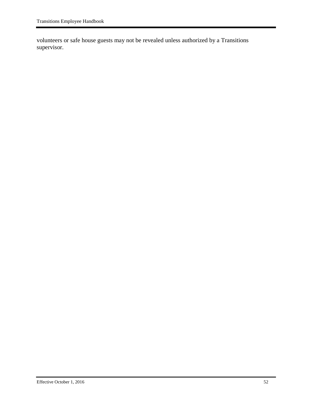volunteers or safe house guests may not be revealed unless authorized by a Transitions supervisor.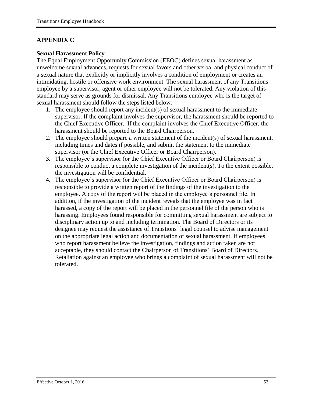# **APPENDIX C**

#### **Sexual Harassment Policy**

The Equal Employment Opportunity Commission (EEOC) defines sexual harassment as unwelcome sexual advances, requests for sexual favors and other verbal and physical conduct of a sexual nature that explicitly or implicitly involves a condition of employment or creates an intimidating, hostile or offensive work environment. The sexual harassment of any Transitions employee by a supervisor, agent or other employee will not be tolerated. Any violation of this standard may serve as grounds for dismissal. Any Transitions employee who is the target of sexual harassment should follow the steps listed below:

- 1. The employee should report any incident(s) of sexual harassment to the immediate supervisor. If the complaint involves the supervisor, the harassment should be reported to the Chief Executive Officer. If the complaint involves the Chief Executive Officer, the harassment should be reported to the Board Chairperson.
- 2. The employee should prepare a written statement of the incident(s) of sexual harassment, including times and dates if possible, and submit the statement to the immediate supervisor (or the Chief Executive Officer or Board Chairperson).
- 3. The employee's supervisor (or the Chief Executive Officer or Board Chairperson) is responsible to conduct a complete investigation of the incident(s). To the extent possible, the investigation will be confidential.
- 4. The employee's supervisor (or the Chief Executive Officer or Board Chairperson) is responsible to provide a written report of the findings of the investigation to the employee. A copy of the report will be placed in the employee's personnel file. In addition, if the investigation of the incident reveals that the employee was in fact harassed, a copy of the report will be placed in the personnel file of the person who is harassing. Employees found responsible for committing sexual harassment are subject to disciplinary action up to and including termination. The Board of Directors or its designee may request the assistance of Transtions' legal counsel to advise management on the appropriate legal action and documentation of sexual harassment. If employees who report harassment believe the investigation, findings and action taken are not acceptable, they should contact the Chairperson of Transitions' Board of Directors. Retaliation against an employee who brings a complaint of sexual harassment will not be tolerated.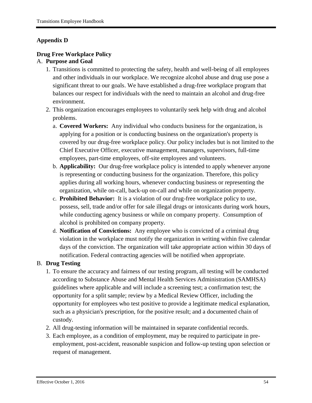# **Appendix D**

# **Drug Free Workplace Policy**

# A. **Purpose and Goal**

- 1. Transitions is committed to protecting the safety, health and well-being of all employees and other individuals in our workplace. We recognize alcohol abuse and drug use pose a significant threat to our goals. We have established a drug-free workplace program that balances our respect for individuals with the need to maintain an alcohol and drug-free environment.
- 2. This organization encourages employees to voluntarily seek help with drug and alcohol problems.
	- a. **Covered Workers:** Any individual who conducts business for the organization, is applying for a position or is conducting business on the organization's property is covered by our drug-free workplace policy. Our policy includes but is not limited to the Chief Executive Officer, executive management, managers, supervisors, full-time employees, part-time employees, off-site employees and volunteers.
	- b. **Applicability:** Our drug-free workplace policy is intended to apply whenever anyone is representing or conducting business for the organization. Therefore, this policy applies during all working hours, whenever conducting business or representing the organization, while on-call, back-up on-call and while on organization property.
	- c. **Prohibited Behavior:** It is a violation of our drug-free workplace policy to use, possess, sell, trade and/or offer for sale illegal drugs or intoxicants during work hours, while conducting agency business or while on company property. Consumption of alcohol is prohibited on company property.
	- d. **Notification of Convictions:** Any employee who is convicted of a criminal drug violation in the workplace must notify the organization in writing within five calendar days of the conviction. The organization will take appropriate action within 30 days of notification. Federal contracting agencies will be notified when appropriate.

# B. **Drug Testing**

- 1. To ensure the accuracy and fairness of our testing program, all testing will be conducted according to Substance Abuse and Mental Health Services Administration (SAMHSA) guidelines where applicable and will include a screening test; a confirmation test; the opportunity for a split sample; review by a Medical Review Officer, including the opportunity for employees who test positive to provide a legitimate medical explanation, such as a physician's prescription, for the positive result; and a documented chain of custody.
- 2. All drug-testing information will be maintained in separate confidential records.
- 3. Each employee, as a condition of employment, may be required to participate in preemployment, post-accident, reasonable suspicion and follow-up testing upon selection or request of management.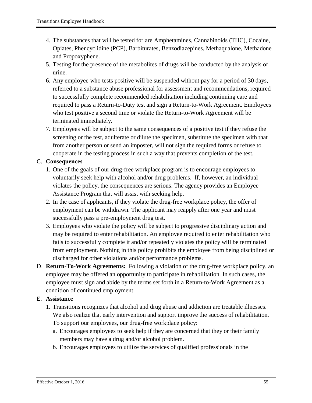- 4. The substances that will be tested for are Amphetamines, Cannabinoids (THC), Cocaine, Opiates, Phencyclidine (PCP), Barbiturates, Benzodiazepines, Methaqualone, Methadone and Propoxyphene.
- 5. Testing for the presence of the metabolites of drugs will be conducted by the analysis of urine.
- 6. Any employee who tests positive will be suspended without pay for a period of 30 days, referred to a substance abuse professional for assessment and recommendations, required to successfully complete recommended rehabilitation including continuing care and required to pass a Return-to-Duty test and sign a Return-to-Work Agreement. Employees who test positive a second time or violate the Return-to-Work Agreement will be terminated immediately.
- 7. Employees will be subject to the same consequences of a positive test if they refuse the screening or the test, adulterate or dilute the specimen, substitute the specimen with that from another person or send an imposter, will not sign the required forms or refuse to cooperate in the testing process in such a way that prevents completion of the test.

# C. **Consequences**

- 1. One of the goals of our drug-free workplace program is to encourage employees to voluntarily seek help with alcohol and/or drug problems. If, however, an individual violates the policy, the consequences are serious. The agency provides an Employee Assistance Program that will assist with seeking help.
- 2. In the case of applicants, if they violate the drug-free workplace policy, the offer of employment can be withdrawn. The applicant may reapply after one year and must successfully pass a pre-employment drug test.
- 3. Employees who violate the policy will be subject to progressive disciplinary action and may be required to enter rehabilitation. An employee required to enter rehabilitation who fails to successfully complete it and/or repeatedly violates the policy will be terminated from employment. Nothing in this policy prohibits the employee from being disciplined or discharged for other violations and/or performance problems.
- D. **Return-To-Work Agreements:** Following a violation of the drug-free workplace policy, an employee may be offered an opportunity to participate in rehabilitation. In such cases, the employee must sign and abide by the terms set forth in a Return-to-Work Agreement as a condition of continued employment.

### E. **Assistance**

- 1. Transitions recognizes that alcohol and drug abuse and addiction are treatable illnesses. We also realize that early intervention and support improve the success of rehabilitation. To support our employees, our drug-free workplace policy:
	- a. Encourages employees to seek help if they are concerned that they or their family members may have a drug and/or alcohol problem.
	- b. Encourages employees to utilize the services of qualified professionals in the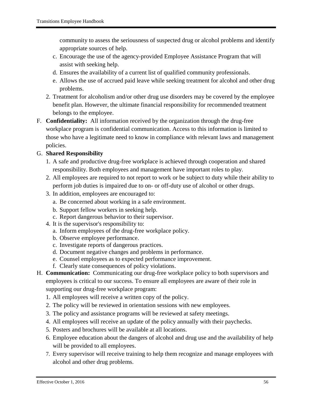community to assess the seriousness of suspected drug or alcohol problems and identify appropriate sources of help.

- c. Encourage the use of the agency-provided Employee Assistance Program that will assist with seeking help.
- d. Ensures the availability of a current list of qualified community professionals.
- e. Allows the use of accrued paid leave while seeking treatment for alcohol and other drug problems.
- 2. Treatment for alcoholism and/or other drug use disorders may be covered by the employee benefit plan. However, the ultimate financial responsibility for recommended treatment belongs to the employee.
- F. **Confidentiality:** All information received by the organization through the drug-free workplace program is confidential communication. Access to this information is limited to those who have a legitimate need to know in compliance with relevant laws and management policies.

# G. **Shared Responsibility**

- 1. A safe and productive drug-free workplace is achieved through cooperation and shared responsibility. Both employees and management have important roles to play.
- 2. All employees are required to not report to work or be subject to duty while their ability to perform job duties is impaired due to on- or off-duty use of alcohol or other drugs.
- 3. In addition, employees are encouraged to:
	- a. Be concerned about working in a safe environment.
	- b. Support fellow workers in seeking help.
	- c. Report dangerous behavior to their supervisor.
- 4. It is the supervisor's responsibility to:
	- a. Inform employees of the drug-free workplace policy.
	- b. Observe employee performance.
	- c. Investigate reports of dangerous practices.
	- d. Document negative changes and problems in performance.
	- e. Counsel employees as to expected performance improvement.
	- f. Clearly state consequences of policy violations.
- H. **Communication:** Communicating our drug-free workplace policy to both supervisors and employees is critical to our success. To ensure all employees are aware of their role in supporting our drug-free workplace program:
	- 1. All employees will receive a written copy of the policy.
	- 2. The policy will be reviewed in orientation sessions with new employees.
	- 3. The policy and assistance programs will be reviewed at safety meetings.
	- 4. All employees will receive an update of the policy annually with their paychecks.
	- 5. Posters and brochures will be available at all locations.
	- 6. Employee education about the dangers of alcohol and drug use and the availability of help will be provided to all employees.
	- 7. Every supervisor will receive training to help them recognize and manage employees with alcohol and other drug problems.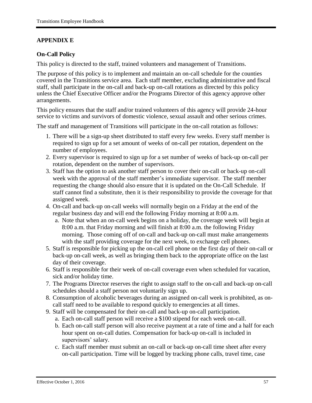# **APPENDIX E**

### **On-Call Policy**

This policy is directed to the staff, trained volunteers and management of Transitions.

The purpose of this policy is to implement and maintain an on-call schedule for the counties covered in the Transitions service area. Each staff member, excluding administrative and fiscal staff, shall participate in the on-call and back-up on-call rotations as directed by this policy unless the Chief Executive Officer and/or the Programs Director of this agency approve other arrangements.

This policy ensures that the staff and/or trained volunteers of this agency will provide 24-hour service to victims and survivors of domestic violence, sexual assault and other serious crimes.

The staff and management of Transitions will participate in the on-call rotation as follows:

- 1. There will be a sign-up sheet distributed to staff every few weeks. Every staff member is required to sign up for a set amount of weeks of on-call per rotation, dependent on the number of employees.
- 2. Every supervisor is required to sign up for a set number of weeks of back-up on-call per rotation, dependent on the number of supervisors.
- 3. Staff has the option to ask another staff person to cover their on-call or back-up on-call week with the approval of the staff member's immediate supervisor. The staff member requesting the change should also ensure that it is updated on the On-Call Schedule. If staff cannot find a substitute, then it is their responsibility to provide the coverage for that assigned week.
- 4. On-call and back-up on-call weeks will normally begin on a Friday at the end of the regular business day and will end the following Friday morning at 8:00 a.m.
	- a. Note that when an on-call week begins on a holiday, the coverage week will begin at 8:00 a.m. that Friday morning and will finish at 8:00 a.m. the following Friday morning. Those coming off of on-call and back-up on-call must make arrangements with the staff providing coverage for the next week, to exchange cell phones.
- 5. Staff is responsible for picking up the on-call cell phone on the first day of their on-call or back-up on-call week, as well as bringing them back to the appropriate office on the last day of their coverage.
- 6. Staff is responsible for their week of on-call coverage even when scheduled for vacation, sick and/or holiday time.
- 7. The Programs Director reserves the right to assign staff to the on-call and back-up on-call schedules should a staff person not voluntarily sign up.
- 8. Consumption of alcoholic beverages during an assigned on-call week is prohibited, as oncall staff need to be available to respond quickly to emergencies at all times.
- 9. Staff will be compensated for their on-call and back-up on-call participation.
	- a. Each on-call staff person will receive a \$100 stipend for each week on-call.
	- b. Each on-call staff person will also receive payment at a rate of time and a half for each hour spent on on-call duties. Compensation for back-up on-call is included in supervisors' salary.
	- c. Each staff member must submit an on-call or back-up on-call time sheet after every on-call participation. Time will be logged by tracking phone calls, travel time, case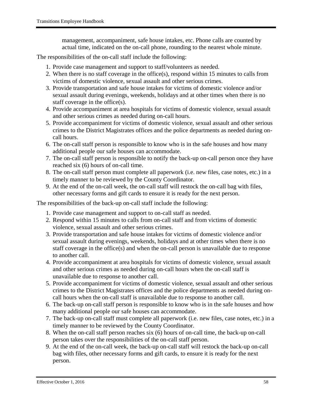management, accompaniment, safe house intakes, etc. Phone calls are counted by actual time, indicated on the on-call phone, rounding to the nearest whole minute.

The responsibilities of the on-call staff include the following:

- 1. Provide case management and support to staff/volunteers as needed.
- 2. When there is no staff coverage in the office(s), respond within 15 minutes to calls from victims of domestic violence, sexual assault and other serious crimes.
- 3. Provide transportation and safe house intakes for victims of domestic violence and/or sexual assault during evenings, weekends, holidays and at other times when there is no staff coverage in the office(s).
- 4. Provide accompaniment at area hospitals for victims of domestic violence, sexual assault and other serious crimes as needed during on-call hours.
- 5. Provide accompaniment for victims of domestic violence, sexual assault and other serious crimes to the District Magistrates offices and the police departments as needed during oncall hours.
- 6. The on-call staff person is responsible to know who is in the safe houses and how many additional people our safe houses can accommodate.
- 7. The on-call staff person is responsible to notify the back-up on-call person once they have reached six (6) hours of on-call time.
- 8. The on-call staff person must complete all paperwork (i.e. new files, case notes, etc.) in a timely manner to be reviewed by the County Coordinator.
- 9. At the end of the on-call week, the on-call staff will restock the on-call bag with files, other necessary forms and gift cards to ensure it is ready for the next person.

The responsibilities of the back-up on-call staff include the following:

- 1. Provide case management and support to on-call staff as needed.
- 2. Respond within 15 minutes to calls from on-call staff and from victims of domestic violence, sexual assault and other serious crimes.
- 3. Provide transportation and safe house intakes for victims of domestic violence and/or sexual assault during evenings, weekends, holidays and at other times when there is no staff coverage in the office(s) and when the on-call person is unavailable due to response to another call.
- 4. Provide accompaniment at area hospitals for victims of domestic violence, sexual assault and other serious crimes as needed during on-call hours when the on-call staff is unavailable due to response to another call.
- 5. Provide accompaniment for victims of domestic violence, sexual assault and other serious crimes to the District Magistrates offices and the police departments as needed during oncall hours when the on-call staff is unavailable due to response to another call.
- 6. The back-up on-call staff person is responsible to know who is in the safe houses and how many additional people our safe houses can accommodate.
- 7. The back-up on-call staff must complete all paperwork (i.e. new files, case notes, etc.) in a timely manner to be reviewed by the County Coordinator.
- 8. When the on-call staff person reaches six (6) hours of on-call time, the back-up on-call person takes over the responsibilities of the on-call staff person.
- 9. At the end of the on-call week, the back-up on-call staff will restock the back-up on-call bag with files, other necessary forms and gift cards, to ensure it is ready for the next person.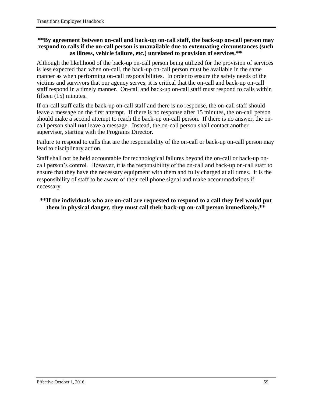#### **\*\*By agreement between on-call and back-up on-call staff, the back-up on-call person may respond to calls if the on-call person is unavailable due to extenuating circumstances (such as illness, vehicle failure, etc.) unrelated to provision of services.\*\***

Although the likelihood of the back-up on-call person being utilized for the provision of services is less expected than when on-call, the back-up on-call person must be available in the same manner as when performing on-call responsibilities. In order to ensure the safety needs of the victims and survivors that our agency serves, it is critical that the on-call and back-up on-call staff respond in a timely manner. On-call and back-up on-call staff must respond to calls within fifteen (15) minutes.

If on-call staff calls the back-up on-call staff and there is no response, the on-call staff should leave a message on the first attempt. If there is no response after 15 minutes, the on-call person should make a second attempt to reach the back-up on-call person. If there is no answer, the oncall person shall **not** leave a message. Instead, the on-call person shall contact another supervisor, starting with the Programs Director.

Failure to respond to calls that are the responsibility of the on-call or back-up on-call person may lead to disciplinary action.

Staff shall not be held accountable for technological failures beyond the on-call or back-up oncall person's control. However, it is the responsibility of the on-call and back-up on-call staff to ensure that they have the necessary equipment with them and fully charged at all times. It is the responsibility of staff to be aware of their cell phone signal and make accommodations if necessary.

#### **\*\*If the individuals who are on-call are requested to respond to a call they feel would put them in physical danger, they must call their back-up on-call person immediately.\*\***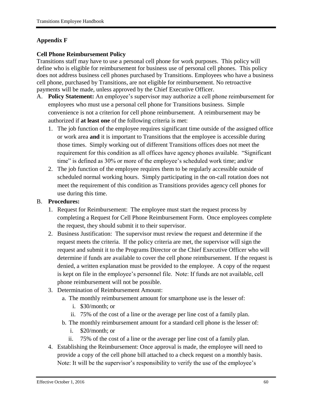# **Appendix F**

### **Cell Phone Reimbursement Policy**

Transitions staff may have to use a personal cell phone for work purposes. This policy will define who is eligible for reimbursement for business use of personal cell phones. This policy does not address business cell phones purchased by Transitions. Employees who have a business cell phone, purchased by Transitions, are not eligible for reimbursement. No retroactive payments will be made, unless approved by the Chief Executive Officer.

- A. **Policy Statement:** An employee's supervisor may authorize a cell phone reimbursement for employees who must use a personal cell phone for Transitions business. Simple convenience is not a criterion for cell phone reimbursement. A reimbursement may be authorized if **at least one** of the following criteria is met:
	- 1. The job function of the employee requires significant time outside of the assigned office or work area **and** it is important to Transitions that the employee is accessible during those times. Simply working out of different Transitions offices does not meet the requirement for this condition as all offices have agency phones available. "Significant time" is defined as 30% or more of the employee's scheduled work time; and/or
	- 2. The job function of the employee requires them to be regularly accessible outside of scheduled normal working hours. Simply participating in the on-call rotation does not meet the requirement of this condition as Transitions provides agency cell phones for use during this time.

### B. **Procedures:**

- 1. Request for Reimbursement: The employee must start the request process by completing a Request for Cell Phone Reimbursement Form. Once employees complete the request, they should submit it to their supervisor.
- 2. Business Justification: The supervisor must review the request and determine if the request meets the criteria. If the policy criteria are met, the supervisor will sign the request and submit it to the Programs Director or the Chief Executive Officer who will determine if funds are available to cover the cell phone reimbursement. If the request is denied, a written explanation must be provided to the employee. A copy of the request is kept on file in the employee's personnel file. Note: If funds are not available, cell phone reimbursement will not be possible.
- 3. Determination of Reimbursement Amount:
	- a. The monthly reimbursement amount for smartphone use is the lesser of:
		- i. \$30/month; or
		- ii. 75% of the cost of a line or the average per line cost of a family plan.
	- b. The monthly reimbursement amount for a standard cell phone is the lesser of:
		- i. \$20/month; or
		- ii. 75% of the cost of a line or the average per line cost of a family plan.
- 4. Establishing the Reimbursement: Once approval is made, the employee will need to provide a copy of the cell phone bill attached to a check request on a monthly basis. Note: It will be the supervisor's responsibility to verify the use of the employee's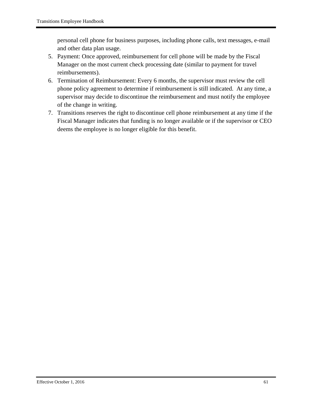personal cell phone for business purposes, including phone calls, text messages, e-mail and other data plan usage.

- 5. Payment: Once approved, reimbursement for cell phone will be made by the Fiscal Manager on the most current check processing date (similar to payment for travel reimbursements).
- 6. Termination of Reimbursement: Every 6 months, the supervisor must review the cell phone policy agreement to determine if reimbursement is still indicated. At any time, a supervisor may decide to discontinue the reimbursement and must notify the employee of the change in writing.
- 7. Transitions reserves the right to discontinue cell phone reimbursement at any time if the Fiscal Manager indicates that funding is no longer available or if the supervisor or CEO deems the employee is no longer eligible for this benefit.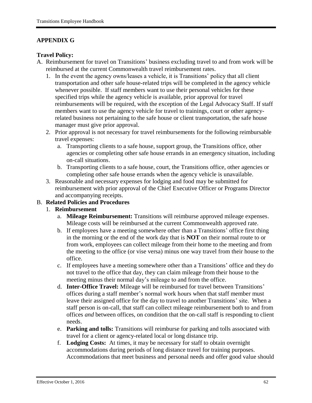# **APPENDIX G**

#### **Travel Policy:**

- A. Reimbursement for travel on Transitions' business excluding travel to and from work will be reimbursed at the current Commonwealth travel reimbursement rates.
	- 1. In the event the agency owns/leases a vehicle, it is Transitions' policy that all client transportation and other safe house-related trips will be completed in the agency vehicle whenever possible. If staff members want to use their personal vehicles for these specified trips while the agency vehicle is available, prior approval for travel reimbursements will be required, with the exception of the Legal Advocacy Staff. If staff members want to use the agency vehicle for travel to trainings, court or other agencyrelated business not pertaining to the safe house or client transportation, the safe house manager must give prior approval.
	- 2. Prior approval is not necessary for travel reimbursements for the following reimbursable travel expenses:
		- a. Transporting clients to a safe house, support group, the Transitions office, other agencies or completing other safe house errands in an emergency situation, including on-call situations.
		- b. Transporting clients to a safe house, court, the Transitions office, other agencies or completing other safe house errands when the agency vehicle is unavailable.
	- 3. Reasonable and necessary expenses for lodging and food may be submitted for reimbursement with prior approval of the Chief Executive Officer or Programs Director and accompanying receipts.

### B. **Related Policies and Procedures**

### 1. **Reimbursement**

- a. **Mileage Reimbursement:** Transitions will reimburse approved mileage expenses. Mileage costs will be reimbursed at the current Commonwealth approved rate.
- b. If employees have a meeting somewhere other than a Transitions' office first thing in the morning or the end of the work day that is **NOT** on their normal route to or from work, employees can collect mileage from their home to the meeting and from the meeting to the office (or vise versa) minus one way travel from their house to the office.
- c. If employees have a meeting somewhere other than a Transitions' office and they do not travel to the office that day, they can claim mileage from their house to the meeting minus their normal day's mileage to and from the office.
- d. **Inter-Office Travel:** Mileage will be reimbursed for travel between Transitions' offices during a staff member's normal work hours when that staff member must leave their assigned office for the day to travel to another Transitions' site. When a staff person is on-call, that staff can collect mileage reimbursement both to and from offices *and* between offices, on condition that the on-call staff is responding to client needs.
- e. **Parking and tolls:** Transitions will reimburse for parking and tolls associated with travel for a client or agency-related local or long distance trip.
- f. **Lodging Costs:** At times, it may be necessary for staff to obtain overnight accommodations during periods of long distance travel for training purposes. Accommodations that meet business and personal needs and offer good value should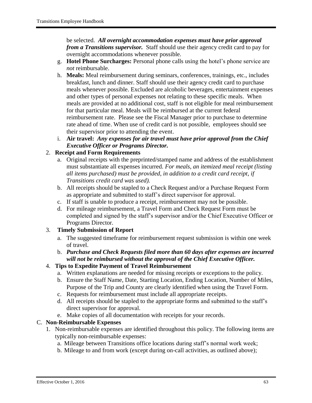be selected. *All overnight accommodation expenses must have prior approval from a Transitions supervisor.* Staff should use their agency credit card to pay for overnight accommodations whenever possible.

- g. **Hotel Phone Surcharges:** Personal phone calls using the hotel's phone service are *not* reimbursable.
- h. **Meals:** Meal reimbursement during seminars, conferences, trainings, etc., includes breakfast, lunch and dinner. Staff should use their agency credit card to purchase meals whenever possible. Excluded are alcoholic beverages, entertainment expenses and other types of personal expenses not relating to these specific meals. When meals are provided at no additional cost, staff is not eligible for meal reimbursement for that particular meal. Meals will be reimbursed at the current federal reimbursement rate. Please see the Fiscal Manager prior to purchase to determine rate ahead of time. When use of credit card is not possible, employees should see their supervisor prior to attending the event.
- i. **Air travel:** *Any expenses for air travel must have prior approval from the Chief Executive Officer or Programs Director.*

# 2. **Receipt and Form Requirements**

- a. Original receipts with the preprinted/stamped name and address of the establishment must substantiate all expenses incurred. *For meals*, *an itemized meal receipt (listing all items purchased) must be provided, in addition to a credit card receipt, if Transitions credit card was used).*
- b. All receipts should be stapled to a Check Request and/or a Purchase Request Form as appropriate and submitted to staff's direct supervisor for approval.
- c. If staff is unable to produce a receipt, reimbursement may not be possible.
- d. For mileage reimbursement, a Travel Form and Check Request Form must be completed and signed by the staff's supervisor and/or the Chief Executive Officer or Programs Director.

# 3. **Timely Submission of Report**

- a. The suggested timeframe for reimbursement request submission is within one week of travel.
- b. *Purchase and Check Requests filed more than 60 days after expenses are incurred will not be reimbursed without the approval of the Chief Executive Officer.*

# 4. **Tips to Expedite Payment of Travel Reimbursement**

- a. Written explanations are needed for missing receipts or exceptions to the policy.
- b. Ensure the Staff Name, Date, Starting Location, Ending Location, Number of Miles, Purpose of the Trip and County are clearly identified when using the Travel Form.
- c. Requests for reimbursement must include all appropriate receipts.
- d. All receipts should be stapled to the appropriate forms and submitted to the staff's direct supervisor for approval.
- e. Make copies of all documentation with receipts for your records.

# C. **Non-Reimbursable Expenses**

- 1. Non-reimbursable expenses are identified throughout this policy. The following items are typically non-reimbursable expenses:
	- a. Mileage between Transitions office locations during staff's normal work week;
	- b. Mileage to and from work (except during on-call activities, as outlined above);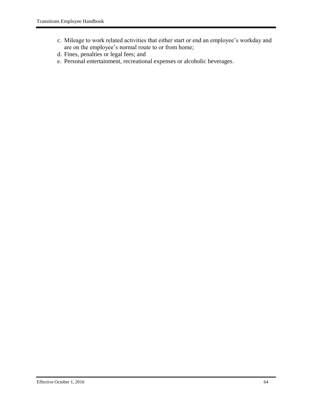- c. Mileage to work related activities that either start or end an employee's workday and are on the employee's normal route to or from home;
- d. Fines, penalties or legal fees; and
- e. Personal entertainment, recreational expenses or alcoholic beverages.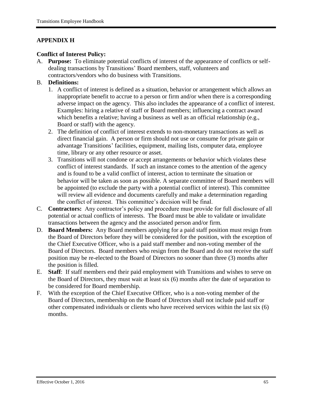# **APPENDIX H**

#### **Conflict of Interest Policy:**

- A. **Purpose:** To eliminate potential conflicts of interest of the appearance of conflicts or selfdealing transactions by Transitions' Board members, staff, volunteers and contractors/vendors who do business with Transitions.
- B. **Definitions:** 
	- 1. A conflict of interest is defined as a situation, behavior or arrangement which allows an inappropriate benefit to accrue to a person or firm and/or when there is a corresponding adverse impact on the agency. This also includes the appearance of a conflict of interest. Examples: hiring a relative of staff or Board members; influencing a contract award which benefits a relative; having a business as well as an official relationship (e.g., Board or staff) with the agency.
	- 2. The definition of conflict of interest extends to non-monetary transactions as well as direct financial gain. A person or firm should not use or consume for private gain or advantage Transitions' facilities, equipment, mailing lists, computer data, employee time, library or any other resource or asset.
	- 3. Transitions will not condone or accept arrangements or behavior which violates these conflict of interest standards. If such an instance comes to the attention of the agency and is found to be a valid conflict of interest, action to terminate the situation or behavior will be taken as soon as possible. A separate committee of Board members will be appointed (to exclude the party with a potential conflict of interest). This committee will review all evidence and documents carefully and make a determination regarding the conflict of interest. This committee's decision will be final.
- C. **Contractors:** Any contractor's policy and procedure must provide for full disclosure of all potential or actual conflicts of interests. The Board must be able to validate or invalidate transactions between the agency and the associated person and/or firm.
- D. **Board Members:** Any Board members applying for a paid staff position must resign from the Board of Directors before they will be considered for the position, with the exception of the Chief Executive Officer, who is a paid staff member and non-voting member of the Board of Directors. Board members who resign from the Board and do not receive the staff position may be re-elected to the Board of Directors no sooner than three (3) months after the position is filled.
- E. **Staff**: If staff members end their paid employment with Transitions and wishes to serve on the Board of Directors, they must wait at least six (6) months after the date of separation to be considered for Board membership.
- F. With the exception of the Chief Executive Officer, who is a non-voting member of the Board of Directors, membership on the Board of Directors shall not include paid staff or other compensated individuals or clients who have received services within the last six (6) months.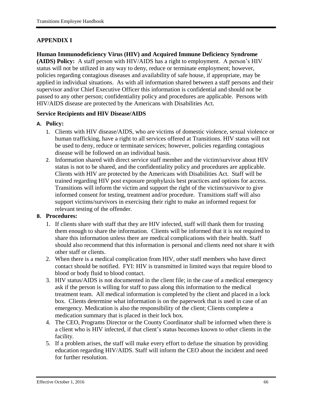# **APPENDIX I**

# **Human Immunodeficiency Virus (HIV) and Acquired Immune Deficiency Syndrome**

**(AIDS) Policy:** A staff person with HIV/AIDS has a right to employment. A person's HIV status will not be utilized in any way to deny, reduce or terminate employment; however, policies regarding contagious diseases and availability of safe house, if appropriate, may be applied in individual situations. As with all information shared between a staff persons and their supervisor and/or Chief Executive Officer this information is confidential and should not be passed to any other person; confidentiality policy and procedures are applicable. Persons with HIV/AIDS disease are protected by the Americans with Disabilities Act.

#### **Service Recipients and HIV Disease/AIDS**

#### **A. Policy:**

- 1. Clients with HIV disease/AIDS, who are victims of domestic violence, sexual violence or human trafficking, have a right to all services offered at Transitions. HIV status will not be used to deny, reduce or terminate services; however, policies regarding contagious disease will be followed on an individual basis.
- 2. Information shared with direct service staff member and the victim/survivor about HIV status is not to be shared, and the confidentiality policy and procedures are applicable. Clients with HIV are protected by the Americans with Disabilities Act. Staff will be trained regarding HIV post exposure prophylaxis best practices and options for access. Transitions will inform the victim and support the right of the victim/survivor to give informed consent for testing, treatment and/or procedure. Transitions staff will also support victims/survivors in exercising their right to make an informed request for relevant testing of the offender.

### **B. Procedures:**

- 1. If clients share with staff that they are HIV infected, staff will thank them for trusting them enough to share the information. Clients will be informed that it is not required to share this information unless there are medical complications with their health. Staff should also recommend that this information is personal and clients need not share it with other staff or clients.
- 2. When there is a medical complication from HIV, other staff members who have direct contact should be notified. FYI: HIV is transmitted in limited ways that require blood to blood or body fluid to blood contact.
- 3. HIV status/AIDS is not documented in the client file; in the case of a medical emergency ask if the person is willing for staff to pass along this information to the medical treatment team. All medical information is completed by the client and placed in a lock box. Clients determine what information is on the paperwork that is used in case of an emergency. Medication is also the responsibility of the client; Clients complete a medication summary that is placed in their lock box.
- 4. The CEO, Programs Director or the County Coordinator shall be informed when there is a client who is HIV infected, if that client's status becomes known to other clients in the facility.
- 5. If a problem arises, the staff will make every effort to defuse the situation by providing education regarding HIV/AIDS. Staff will inform the CEO about the incident and need for further resolution.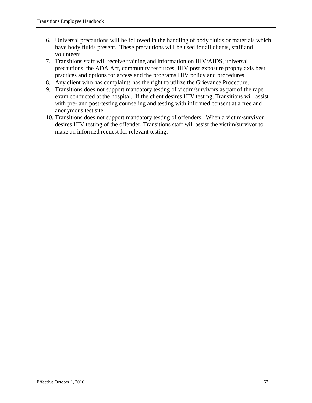- 6. Universal precautions will be followed in the handling of body fluids or materials which have body fluids present. These precautions will be used for all clients, staff and volunteers.
- 7. Transitions staff will receive training and information on HIV/AIDS, universal precautions, the ADA Act, community resources, HIV post exposure prophylaxis best practices and options for access and the programs HIV policy and procedures.
- 8. Any client who has complaints has the right to utilize the Grievance Procedure.
- 9. Transitions does not support mandatory testing of victim/survivors as part of the rape exam conducted at the hospital. If the client desires HIV testing, Transitions will assist with pre- and post-testing counseling and testing with informed consent at a free and anonymous test site.
- 10. Transitions does not support mandatory testing of offenders. When a victim/survivor desires HIV testing of the offender, Transitions staff will assist the victim/survivor to make an informed request for relevant testing.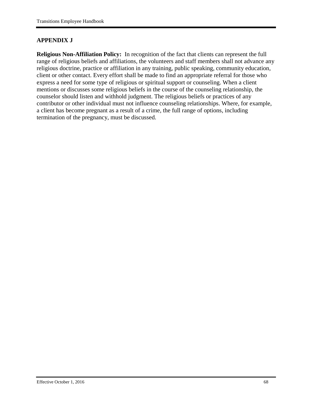# **APPENDIX J**

**Religious Non-Affiliation Policy:** In recognition of the fact that clients can represent the full range of religious beliefs and affiliations, the volunteers and staff members shall not advance any religious doctrine, practice or affiliation in any training, public speaking, community education, client or other contact. Every effort shall be made to find an appropriate referral for those who express a need for some type of religious or spiritual support or counseling. When a client mentions or discusses some religious beliefs in the course of the counseling relationship, the counselor should listen and withhold judgment. The religious beliefs or practices of any contributor or other individual must not influence counseling relationships. Where, for example, a client has become pregnant as a result of a crime, the full range of options, including termination of the pregnancy, must be discussed.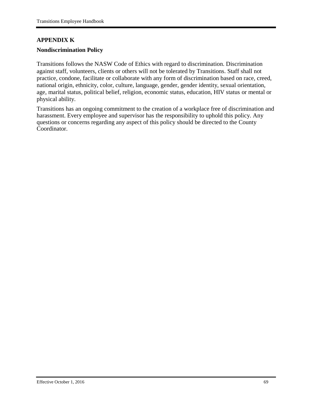### **APPENDIX K**

#### **Nondiscrimination Policy**

Transitions follows the NASW Code of Ethics with regard to discrimination. Discrimination against staff, volunteers, clients or others will not be tolerated by Transitions. Staff shall not practice, condone, facilitate or collaborate with any form of discrimination based on race, creed, national origin, ethnicity, color, culture, language, gender, gender identity, sexual orientation, age, marital status, political belief, religion, economic status, education, HIV status or mental or physical ability.

Transitions has an ongoing commitment to the creation of a workplace free of discrimination and harassment. Every employee and supervisor has the responsibility to uphold this policy. Any questions or concerns regarding any aspect of this policy should be directed to the County Coordinator.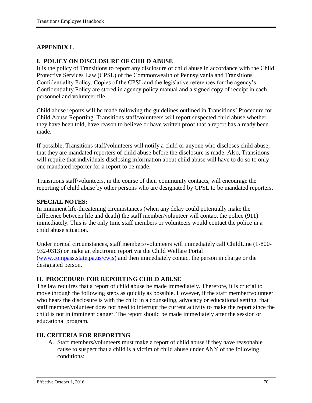# **APPENDIX L**

#### **I. POLICY ON DISCLOSURE OF CHILD ABUSE**

It is the policy of Transitions to report any disclosure of child abuse in accordance with the Child Protective Services Law (CPSL) of the Commonwealth of Pennsylvania and Transitions Confidentiality Policy. Copies of the CPSL and the legislative references for the agency's Confidentiality Policy are stored in agency policy manual and a signed copy of receipt in each personnel and volunteer file.

Child abuse reports will be made following the guidelines outlined in Transitions' Procedure for Child Abuse Reporting. Transitions staff/volunteers will report suspected child abuse whether they have been told, have reason to believe or have written proof that a report has already been made.

If possible, Transitions staff/volunteers will notify a child or anyone who discloses child abuse, that they are mandated reporters of child abuse before the disclosure is made. Also, Transitions will require that individuals disclosing information about child abuse will have to do so to only one mandated reporter for a report to be made.

Transitions staff/volunteers, in the course of their community contacts, will encourage the reporting of child abuse by other persons who are designated by CPSL to be mandated reporters.

#### **SPECIAL NOTES:**

In imminent life-threatening circumstances (when any delay could potentially make the difference between life and death) the staff member/volunteer will contact the police (911) immediately. This is the only time staff members or volunteers would contact the police in a child abuse situation.

Under normal circumstances, staff members/volunteers will immediately call ChildLine (1-800- 932-0313) or make an electronic report via the Child Welfare Portal [\(www.compass.state.pa.us/cwis\)](http://www.compass.state.pa.us/cwis) and then immediately contact the person in charge or the designated person.

#### **II. PROCEDURE FOR REPORTING CHILD ABUSE**

The law requires that a report of child abuse be made immediately. Therefore, it is crucial to move through the following steps as quickly as possible. However, if the staff member/volunteer who hears the disclosure is with the child in a counseling, advocacy or educational setting, that staff member/volunteer does not need to interrupt the current activity to make the report since the child is not in imminent danger. The report should be made immediately after the session or educational program.

#### **III. CRITERIA FOR REPORTING**

A. Staff members/volunteers must make a report of child abuse if they have reasonable cause to suspect that a child is a victim of child abuse under ANY of the following conditions: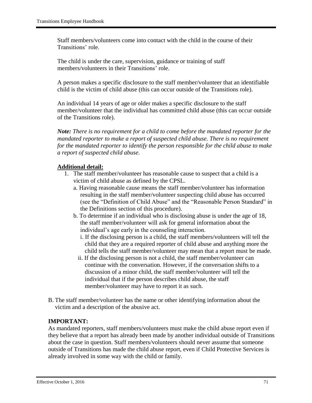Staff members/volunteers come into contact with the child in the course of their Transitions' role.

The child is under the care, supervision, guidance or training of staff members/volunteers in their Transitions' role.

A person makes a specific disclosure to the staff member/volunteer that an identifiable child is the victim of child abuse (this can occur outside of the Transitions role).

An individual 14 years of age or older makes a specific disclosure to the staff member/volunteer that the individual has committed child abuse (this can occur outside of the Transitions role).

*Note: There is no requirement for a child to come before the mandated reporter for the mandated reporter to make a report of suspected child abuse. There is no requirement for the mandated reporter to identify the person responsible for the child abuse to make a report of suspected child abuse.*

### **Additional detail:**

- 1. The staff member/volunteer has reasonable cause to suspect that a child is a victim of child abuse as defined by the CPSL.
	- a. Having reasonable cause means the staff member/volunteer has information resulting in the staff member/volunteer suspecting child abuse has occurred (see the "Definition of Child Abuse" and the "Reasonable Person Standard" in the Definitions section of this procedure).
	- b. To determine if an individual who is disclosing abuse is under the age of 18, the staff member/volunteer will ask for general information about the individual's age early in the counseling interaction.
		- i. If the disclosing person is a child, the staff members/volunteers will tell the child that they are a required reporter of child abuse and anything more the child tells the staff member/volunteer may mean that a report must be made.
		- ii. If the disclosing person is not a child, the staff member/volunteer can continue with the conversation. However, if the conversation shifts to a discussion of a minor child, the staff member/volunteer will tell the individual that if the person describes child abuse, the staff member/volunteer may have to report it as such.
- B. The staff member/volunteer has the name or other identifying information about the victim and a description of the abusive act.

### **IMPORTANT:**

As mandated reporters, staff members/volunteers must make the child abuse report even if they believe that a report has already been made by another individual outside of Transitions about the case in question. Staff members/volunteers should never assume that someone outside of Transitions has made the child abuse report, even if Child Protective Services is already involved in some way with the child or family.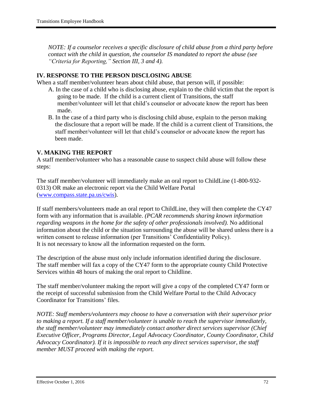*NOTE: If a counselor receives a specific disclosure of child abuse from a third party before contact with the child in question, the counselor IS mandated to report the abuse (see "Criteria for Reporting," Section III, 3 and 4).*

# **IV. RESPONSE TO THE PERSON DISCLOSING ABUSE**

When a staff member/volunteer hears about child abuse, that person will, if possible:

- A. In the case of a child who is disclosing abuse, explain to the child victim that the report is going to be made. If the child is a current client of Transitions, the staff member/volunteer will let that child's counselor or advocate know the report has been made.
- B. In the case of a third party who is disclosing child abuse, explain to the person making the disclosure that a report will be made. If the child is a current client of Transitions, the staff member/volunteer will let that child's counselor or advocate know the report has been made.

# **V. MAKING THE REPORT**

A staff member/volunteer who has a reasonable cause to suspect child abuse will follow these steps:

The staff member/volunteer will immediately make an oral report to ChildLine (1-800-932- 0313) OR make an electronic report via the Child Welfare Portal [\(www.compass.state.pa.us/cwis\)](http://www.compass.state.pa.us/cwis).

If staff members/volunteers made an oral report to ChildLine, they will then complete the CY47 form with any information that is available. *(PCAR recommends sharing known information regarding weapons in the home for the safety of other professionals involved).* No additional information about the child or the situation surrounding the abuse will be shared unless there is a written consent to release information (per Transitions' Confidentiality Policy). It is not necessary to know all the information requested on the form.

The description of the abuse must only include information identified during the disclosure. The staff member will fax a copy of the CY47 form to the appropriate county Child Protective Services within 48 hours of making the oral report to Childline.

The staff member/volunteer making the report will give a copy of the completed CY47 form or the receipt of successful submission from the Child Welfare Portal to the Child Advocacy Coordinator for Transitions' files.

*NOTE: Staff members/volunteers may choose to have a conversation with their supervisor prior to making a report. If a staff member/volunteer is unable to reach the supervisor immediately, the staff member/volunteer may immediately contact another direct services supervisor (Chief Executive Officer, Programs Director, Legal Advocacy Coordinator, County Coordinator, Child Advocacy Coordinator). If it is impossible to reach any direct services supervisor, the staff member MUST proceed with making the report.*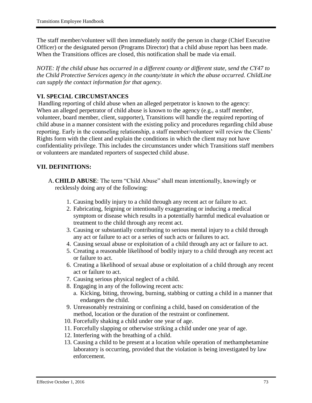The staff member/volunteer will then immediately notify the person in charge (Chief Executive Officer) or the designated person (Programs Director) that a child abuse report has been made. When the Transitions offices are closed, this notification shall be made via email.

*NOTE: If the child abuse has occurred in a different county or different state, send the CY47 to the Child Protective Services agency in the county/state in which the abuse occurred. ChildLine can supply the contact information for that agency.*

# **VI. SPECIAL CIRCUMSTANCES**

Handling reporting of child abuse when an alleged perpetrator is known to the agency: When an alleged perpetrator of child abuse is known to the agency (e.g., a staff member, volunteer, board member, client, supporter), Transitions will handle the required reporting of child abuse in a manner consistent with the existing policy and procedures regarding child abuse reporting. Early in the counseling relationship, a staff member/volunteer will review the Clients' Rights form with the client and explain the conditions in which the client may not have confidentiality privilege. This includes the circumstances under which Transitions staff members or volunteers are mandated reporters of suspected child abuse.

### **VII. DEFINITIONS:**

- A.**CHILD ABUSE**: The term "Child Abuse" shall mean intentionally, knowingly or recklessly doing any of the following:
	- 1. Causing bodily injury to a child through any recent act or failure to act.
	- 2. Fabricating, feigning or intentionally exaggerating or inducing a medical symptom or disease which results in a potentially harmful medical evaluation or treatment to the child through any recent act.
	- 3. Causing or substantially contributing to serious mental injury to a child through any act or failure to act or a series of such acts or failures to act.
	- 4. Causing sexual abuse or exploitation of a child through any act or failure to act.
	- 5. Creating a reasonable likelihood of bodily injury to a child through any recent act or failure to act.
	- 6. Creating a likelihood of sexual abuse or exploitation of a child through any recent act or failure to act.
	- 7. Causing serious physical neglect of a child.
	- 8. Engaging in any of the following recent acts:
		- a. Kicking, biting, throwing, burning, stabbing or cutting a child in a manner that endangers the child.
	- 9. Unreasonably restraining or confining a child, based on consideration of the method, location or the duration of the restraint or confinement.
	- 10. Forcefully shaking a child under one year of age.
	- 11. Forcefully slapping or otherwise striking a child under one year of age.
	- 12. Interfering with the breathing of a child.
	- 13. Causing a child to be present at a location while operation of methamphetamine laboratory is occurring, provided that the violation is being investigated by law enforcement.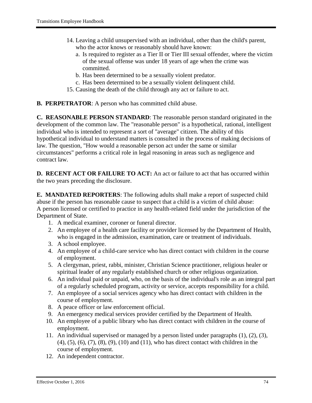- 14. Leaving a child unsupervised with an individual, other than the child's parent, who the actor knows or reasonably should have known:
	- a. Is required to register as a Tier II or Tier III sexual offender, where the victim of the sexual offense was under 18 years of age when the crime was committed.
	- b. Has been determined to be a sexually violent predator.
	- c. Has been determined to be a sexually violent delinquent child.
- 15. Causing the death of the child through any act or failure to act.
- **B. PERPETRATOR**: A person who has committed child abuse.

**C. REASONABLE PERSON STANDARD**: The reasonable person standard originated in the development of the common law. The "reasonable person" is a hypothetical, rational, intelligent individual who is intended to represent a sort of "average" citizen. The ability of this hypothetical individual to understand matters is consulted in the process of making decisions of law. The question, "How would a reasonable person act under the same or similar circumstances" performs a critical role in legal reasoning in areas such as negligence and contract law.

**D. RECENT ACT OR FAILURE TO ACT:** An act or failure to act that has occurred within the two years preceding the disclosure.

**E. MANDATED REPORTERS**: The following adults shall make a report of suspected child abuse if the person has reasonable cause to suspect that a child is a victim of child abuse: A person licensed or certified to practice in any health-related field under the jurisdiction of the Department of State.

- 1. A medical examiner, coroner or funeral director.
- 2. An employee of a health care facility or provider licensed by the Department of Health, who is engaged in the admission, examination, care or treatment of individuals.
- 3. A school employee.
- 4. An employee of a child-care service who has direct contact with children in the course of employment.
- 5. A clergyman, priest, rabbi, minister, Christian Science practitioner, religious healer or spiritual leader of any regularly established church or other religious organization.
- 6. An individual paid or unpaid, who, on the basis of the individual's role as an integral part of a regularly scheduled program, activity or service, accepts responsibility for a child.
- 7. An employee of a social services agency who has direct contact with children in the course of employment.
- 8. A peace officer or law enforcement official.
- 9. An emergency medical services provider certified by the Department of Health.
- 10. An employee of a public library who has direct contact with children in the course of employment.
- 11. An individual supervised or managed by a person listed under paragraphs (1), (2), (3), (4), (5), (6), (7), (8), (9), (10) and (11), who has direct contact with children in the course of employment.
- 12. An independent contractor.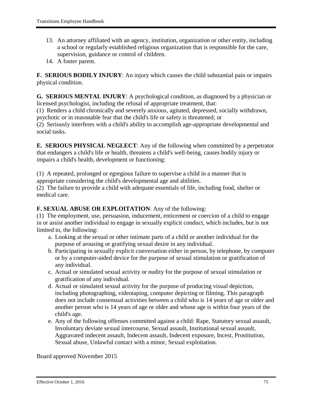- 13. An attorney affiliated with an agency, institution, organization or other entity, including a school or regularly established religious organization that is responsible for the care, supervision, guidance or control of children.
- 14. A foster parent.

**F. SERIOUS BODILY INJURY**: An injury which causes the child substantial pain or impairs physical condition.

**G. SERIOUS MENTAL INJURY**: A psychological condition, as diagnosed by a physician or licensed psychologist, including the refusal of appropriate treatment, that:

(1) Renders a child chronically and severely anxious, agitated, depressed, socially withdrawn, psychotic or in reasonable fear that the child's life or safety is threatened; or

(2) Seriously interferes with a child's ability to accomplish age-appropriate developmental and social tasks.

**E. SERIOUS PHYSICAL NEGLECT**: Any of the following when committed by a perpetrator that endangers a child's life or health, threatens a child's well-being, causes bodily injury or impairs a child's health, development or functioning:

(1) A repeated, prolonged or egregious failure to supervise a child in a manner that is appropriate considering the child's developmental age and abilities.

(2) The failure to provide a child with adequate essentials of life, including food, shelter or medical care.

### **F. SEXUAL ABUSE OR EXPLOITATION**: Any of the following:

(1) The employment, use, persuasion, inducement, enticement or coercion of a child to engage in or assist another individual to engage in sexually explicit conduct, which includes, but is not limited to, the following:

- a. Looking at the sexual or other intimate parts of a child or another individual for the purpose of arousing or gratifying sexual desire in any individual.
- b. Participating in sexually explicit conversation either in person, by telephone, by computer or by a computer-aided device for the purpose of sexual stimulation or gratification of any individual.
- c. Actual or simulated sexual activity or nudity for the purpose of sexual stimulation or gratification of any individual.
- d. Actual or simulated sexual activity for the purpose of producing visual depiction, including photographing, videotaping, computer depicting or filming. This paragraph does not include consensual activities between a child who is 14 years of age or older and another person who is 14 years of age or older and whose age is within four years of the child's age.
- e. Any of the following offenses committed against a child: Rape, Statutory sexual assault, Involuntary deviate sexual intercourse, Sexual assault, Institutional sexual assault, Aggravated indecent assault, Indecent assault, Indecent exposure, Incest, Prostitution, Sexual abuse, Unlawful contact with a minor, Sexual exploitation.

Board approved November 2015